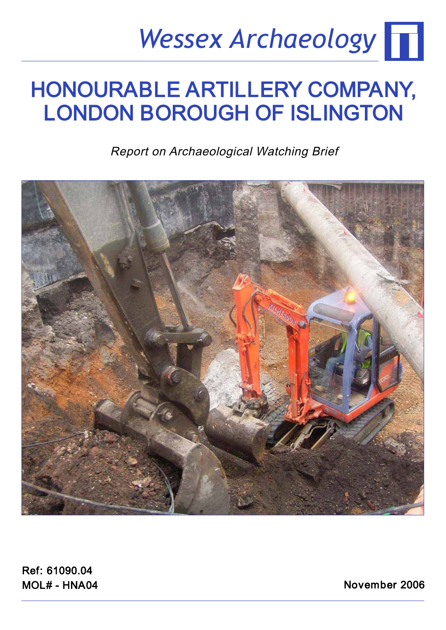## *Wessex Archaeology*

## HONOURABLE ARTILLERY COMPANY,<br>LONDON BOROUGH OF ISLINGTON LONDON BOROUGH OF ISLINGTON

Report on Archaeological Watching Brief



Ref: 61090.04  $MOL# - HNA04$ mom - Hand

November 2006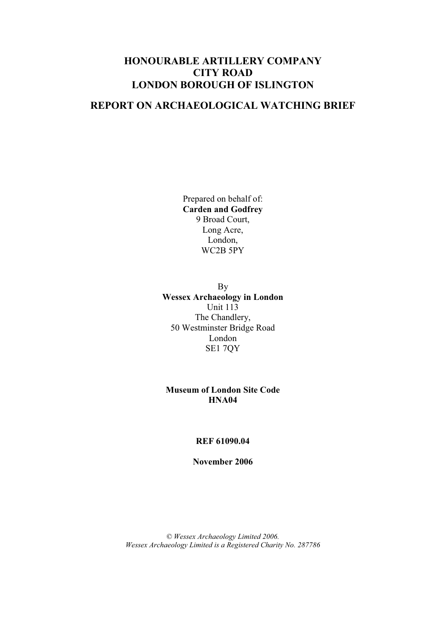#### **REPORT ON ARCHAEOLOGICAL WATCHING BRIEF**

Prepared on behalf of: **Carden and Godfrey**  9 Broad Court, Long Acre, London, WC2B 5PY

By **Wessex Archaeology in London**  Unit 113 The Chandlery, 50 Westminster Bridge Road London SE1 7QY

**Museum of London Site Code HNA04**

#### **REF 61090.04**

**November 2006** 

*© Wessex Archaeology Limited 2006. Wessex Archaeology Limited is a Registered Charity No. 287786*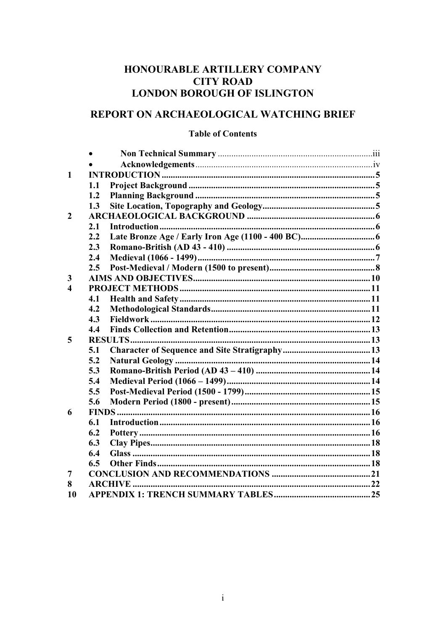#### REPORT ON ARCHAEOLOGICAL WATCHING BRIEF

#### **Table of Contents**

| $\mathbf{1}$     |               |  |
|------------------|---------------|--|
|                  | 1.1           |  |
|                  | 1.2           |  |
|                  | 1.3           |  |
| $\overline{2}$   |               |  |
|                  | 2.1           |  |
|                  | 2.2           |  |
|                  | 2.3           |  |
|                  | 2.4           |  |
|                  | 2.5           |  |
| 3                |               |  |
| $\boldsymbol{4}$ |               |  |
|                  | 4.1           |  |
|                  | 4.2           |  |
|                  | 4.3           |  |
|                  | 4.4           |  |
| 5                |               |  |
|                  | 5.1           |  |
|                  | 5.2           |  |
|                  | 5.3           |  |
|                  | 5.4           |  |
|                  | 5.5           |  |
|                  | 5.6           |  |
| 6                | <b>FINDS.</b> |  |
|                  | 6.1           |  |
|                  | 6.2           |  |
|                  | 6.3           |  |
|                  | 6.4           |  |
|                  | 6.5           |  |
| 7                |               |  |
| 8                |               |  |
| 10               |               |  |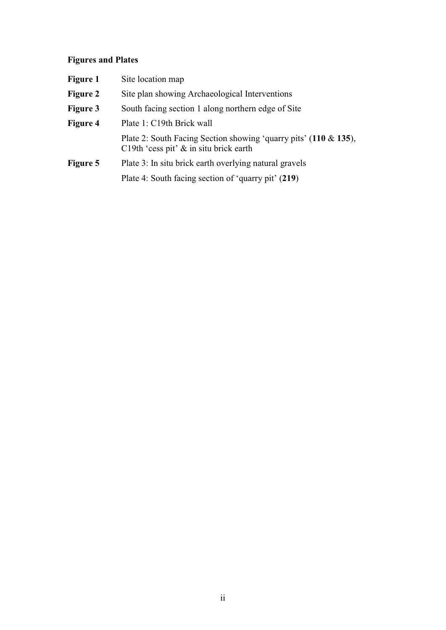### **Figures and Plates**

| <b>Figure 1</b> | Site location map                                                                                                 |
|-----------------|-------------------------------------------------------------------------------------------------------------------|
| <b>Figure 2</b> | Site plan showing Archaeological Interventions                                                                    |
| <b>Figure 3</b> | South facing section 1 along northern edge of Site                                                                |
| <b>Figure 4</b> | Plate 1: C19th Brick wall                                                                                         |
|                 | Plate 2: South Facing Section showing 'quarry pits' $(110 \& 135)$ ,<br>C19th 'cess pit' $\&$ in situ brick earth |
| Figure 5        | Plate 3: In situ brick earth overlying natural gravels                                                            |
|                 | Plate 4: South facing section of 'quarry pit' (219)                                                               |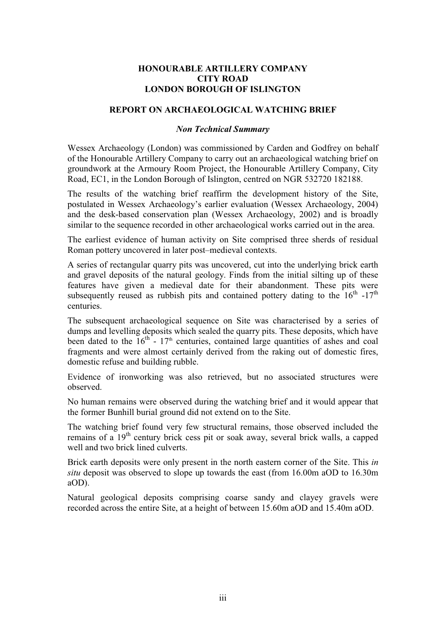#### **REPORT ON ARCHAEOLOGICAL WATCHING BRIEF**

#### *Non Technical Summary*

Wessex Archaeology (London) was commissioned by Carden and Godfrey on behalf of the Honourable Artillery Company to carry out an archaeological watching brief on groundwork at the Armoury Room Project, the Honourable Artillery Company, City Road, EC1, in the London Borough of Islington, centred on NGR 532720 182188.

The results of the watching brief reaffirm the development history of the Site, postulated in Wessex Archaeology's earlier evaluation (Wessex Archaeology, 2004) and the desk-based conservation plan (Wessex Archaeology, 2002) and is broadly similar to the sequence recorded in other archaeological works carried out in the area.

The earliest evidence of human activity on Site comprised three sherds of residual Roman pottery uncovered in later post–medieval contexts.

A series of rectangular quarry pits was uncovered, cut into the underlying brick earth and gravel deposits of the natural geology. Finds from the initial silting up of these features have given a medieval date for their abandonment. These pits were subsequently reused as rubbish pits and contained pottery dating to the  $16<sup>th</sup> -17<sup>th</sup>$ centuries.

The subsequent archaeological sequence on Site was characterised by a series of dumps and levelling deposits which sealed the quarry pits. These deposits, which have been dated to the  $16<sup>th</sup> - 17<sup>th</sup>$  centuries, contained large quantities of ashes and coal fragments and were almost certainly derived from the raking out of domestic fires, domestic refuse and building rubble.

Evidence of ironworking was also retrieved, but no associated structures were observed.

No human remains were observed during the watching brief and it would appear that the former Bunhill burial ground did not extend on to the Site.

The watching brief found very few structural remains, those observed included the remains of a 19<sup>th</sup> century brick cess pit or soak away, several brick walls, a capped well and two brick lined culverts.

Brick earth deposits were only present in the north eastern corner of the Site. This *in situ* deposit was observed to slope up towards the east (from 16.00m aOD to 16.30m aOD).

Natural geological deposits comprising coarse sandy and clayey gravels were recorded across the entire Site, at a height of between 15.60m aOD and 15.40m aOD.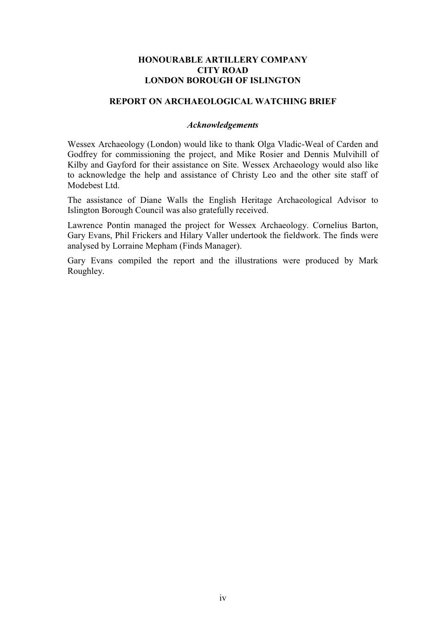#### **REPORT ON ARCHAEOLOGICAL WATCHING BRIEF**

#### *Acknowledgements*

Wessex Archaeology (London) would like to thank Olga Vladic-Weal of Carden and Godfrey for commissioning the project, and Mike Rosier and Dennis Mulvihill of Kilby and Gayford for their assistance on Site. Wessex Archaeology would also like to acknowledge the help and assistance of Christy Leo and the other site staff of Modebest Ltd.

The assistance of Diane Walls the English Heritage Archaeological Advisor to Islington Borough Council was also gratefully received.

Lawrence Pontin managed the project for Wessex Archaeology. Cornelius Barton, Gary Evans, Phil Frickers and Hilary Valler undertook the fieldwork. The finds were analysed by Lorraine Mepham (Finds Manager).

Gary Evans compiled the report and the illustrations were produced by Mark Roughley.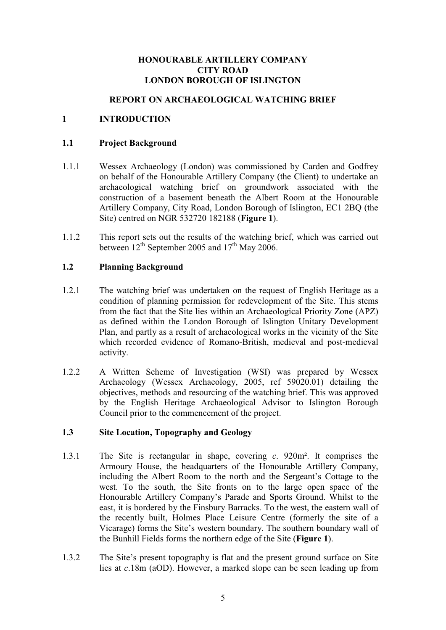#### **REPORT ON ARCHAEOLOGICAL WATCHING BRIEF**

#### **1 INTRODUCTION**

#### **1.1 Project Background**

- 1.1.1 Wessex Archaeology (London) was commissioned by Carden and Godfrey on behalf of the Honourable Artillery Company (the Client) to undertake an archaeological watching brief on groundwork associated with the construction of a basement beneath the Albert Room at the Honourable Artillery Company, City Road, London Borough of Islington, EC1 2BQ (the Site) centred on NGR 532720 182188 (**Figure 1**).
- 1.1.2 This report sets out the results of the watching brief, which was carried out between  $12^{th}$  September 2005 and  $17^{th}$  May 2006.

#### **1.2 Planning Background**

- 1.2.1 The watching brief was undertaken on the request of English Heritage as a condition of planning permission for redevelopment of the Site. This stems from the fact that the Site lies within an Archaeological Priority Zone (APZ) as defined within the London Borough of Islington Unitary Development Plan, and partly as a result of archaeological works in the vicinity of the Site which recorded evidence of Romano-British, medieval and post-medieval activity.
- 1.2.2 A Written Scheme of Investigation (WSI) was prepared by Wessex Archaeology (Wessex Archaeology, 2005, ref 59020.01) detailing the objectives, methods and resourcing of the watching brief. This was approved by the English Heritage Archaeological Advisor to Islington Borough Council prior to the commencement of the project.

#### **1.3 Site Location, Topography and Geology**

- 1.3.1 The Site is rectangular in shape, covering *c*. 920m². It comprises the Armoury House, the headquarters of the Honourable Artillery Company, including the Albert Room to the north and the Sergeant's Cottage to the west. To the south, the Site fronts on to the large open space of the Honourable Artillery Company's Parade and Sports Ground. Whilst to the east, it is bordered by the Finsbury Barracks. To the west, the eastern wall of the recently built, Holmes Place Leisure Centre (formerly the site of a Vicarage) forms the Site's western boundary. The southern boundary wall of the Bunhill Fields forms the northern edge of the Site (**Figure 1**).
- 1.3.2 The Site's present topography is flat and the present ground surface on Site lies at *c*.18m (aOD). However, a marked slope can be seen leading up from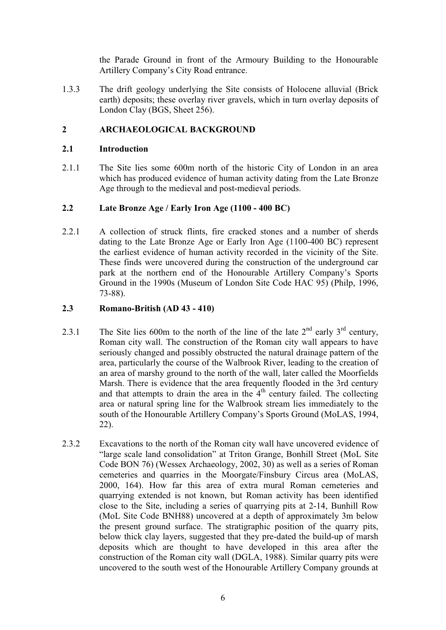the Parade Ground in front of the Armoury Building to the Honourable Artillery Company's City Road entrance.

1.3.3 The drift geology underlying the Site consists of Holocene alluvial (Brick earth) deposits; these overlay river gravels, which in turn overlay deposits of London Clay (BGS, Sheet 256).

#### **2 ARCHAEOLOGICAL BACKGROUND**

#### **2.1 Introduction**

2.1.1 The Site lies some 600m north of the historic City of London in an area which has produced evidence of human activity dating from the Late Bronze Age through to the medieval and post-medieval periods.

#### **2.2 Late Bronze Age / Early Iron Age (1100 - 400 BC)**

2.2.1 A collection of struck flints, fire cracked stones and a number of sherds dating to the Late Bronze Age or Early Iron Age (1100-400 BC) represent the earliest evidence of human activity recorded in the vicinity of the Site. These finds were uncovered during the construction of the underground car park at the northern end of the Honourable Artillery Company's Sports Ground in the 1990s (Museum of London Site Code HAC 95) (Philp, 1996, 73-88).

#### **2.3 Romano-British (AD 43 - 410)**

- 2.3.1 The Site lies 600m to the north of the line of the late  $2<sup>nd</sup>$  early  $3<sup>rd</sup>$  century, Roman city wall. The construction of the Roman city wall appears to have seriously changed and possibly obstructed the natural drainage pattern of the area, particularly the course of the Walbrook River, leading to the creation of an area of marshy ground to the north of the wall, later called the Moorfields Marsh. There is evidence that the area frequently flooded in the 3rd century and that attempts to drain the area in the  $4<sup>th</sup>$  century failed. The collecting area or natural spring line for the Walbrook stream lies immediately to the south of the Honourable Artillery Company's Sports Ground (MoLAS, 1994, 22).
- 2.3.2 Excavations to the north of the Roman city wall have uncovered evidence of "large scale land consolidation" at Triton Grange, Bonhill Street (MoL Site Code BON 76) (Wessex Archaeology, 2002, 30) as well as a series of Roman cemeteries and quarries in the Moorgate/Finsbury Circus area (MoLAS, 2000, 164). How far this area of extra mural Roman cemeteries and quarrying extended is not known, but Roman activity has been identified close to the Site, including a series of quarrying pits at 2-14, Bunhill Row (MoL Site Code BNH88) uncovered at a depth of approximately 3m below the present ground surface. The stratigraphic position of the quarry pits, below thick clay layers, suggested that they pre-dated the build-up of marsh deposits which are thought to have developed in this area after the construction of the Roman city wall (DGLA, 1988). Similar quarry pits were uncovered to the south west of the Honourable Artillery Company grounds at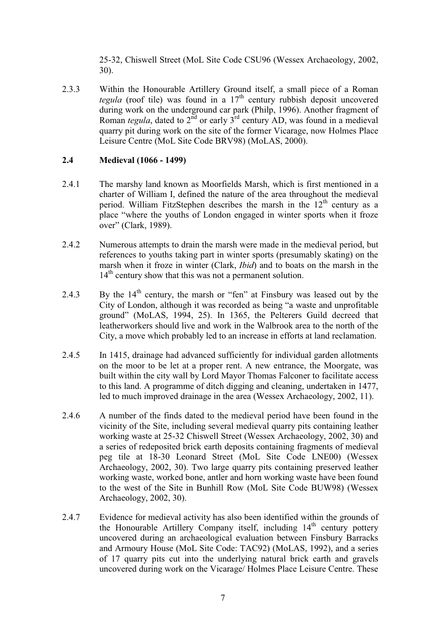25-32, Chiswell Street (MoL Site Code CSU96 (Wessex Archaeology, 2002, 30).

2.3.3 Within the Honourable Artillery Ground itself, a small piece of a Roman *tegula* (roof tile) was found in a  $17<sup>th</sup>$  century rubbish deposit uncovered during work on the underground car park (Philp, 1996). Another fragment of Roman *tegula*, dated to  $2<sup>nd</sup>$  or early  $3<sup>rd</sup>$  century AD, was found in a medieval quarry pit during work on the site of the former Vicarage, now Holmes Place Leisure Centre (MoL Site Code BRV98) (MoLAS, 2000).

#### **2.4 Medieval (1066 - 1499)**

- 2.4.1 The marshy land known as Moorfields Marsh, which is first mentioned in a charter of William I, defined the nature of the area throughout the medieval period. William FitzStephen describes the marsh in the  $12<sup>th</sup>$  century as a place "where the youths of London engaged in winter sports when it froze over" (Clark, 1989).
- 2.4.2 Numerous attempts to drain the marsh were made in the medieval period, but references to youths taking part in winter sports (presumably skating) on the marsh when it froze in winter (Clark, *Ibid*) and to boats on the marsh in the 14<sup>th</sup> century show that this was not a permanent solution.
- 2.4.3 By the  $14<sup>th</sup>$  century, the marsh or "fen" at Finsbury was leased out by the City of London, although it was recorded as being "a waste and unprofitable ground" (MoLAS, 1994, 25). In 1365, the Pelterers Guild decreed that leatherworkers should live and work in the Walbrook area to the north of the City, a move which probably led to an increase in efforts at land reclamation.
- 2.4.5 In 1415, drainage had advanced sufficiently for individual garden allotments on the moor to be let at a proper rent. A new entrance, the Moorgate, was built within the city wall by Lord Mayor Thomas Falconer to facilitate access to this land. A programme of ditch digging and cleaning, undertaken in 1477, led to much improved drainage in the area (Wessex Archaeology, 2002, 11).
- 2.4.6 A number of the finds dated to the medieval period have been found in the vicinity of the Site, including several medieval quarry pits containing leather working waste at 25-32 Chiswell Street (Wessex Archaeology, 2002, 30) and a series of redeposited brick earth deposits containing fragments of medieval peg tile at 18-30 Leonard Street (MoL Site Code LNE00) (Wessex Archaeology, 2002, 30). Two large quarry pits containing preserved leather working waste, worked bone, antler and horn working waste have been found to the west of the Site in Bunhill Row (MoL Site Code BUW98) (Wessex Archaeology, 2002, 30).
- 2.4.7 Evidence for medieval activity has also been identified within the grounds of the Honourable Artillery Company itself, including  $14<sup>th</sup>$  century pottery uncovered during an archaeological evaluation between Finsbury Barracks and Armoury House (MoL Site Code: TAC92) (MoLAS, 1992), and a series of 17 quarry pits cut into the underlying natural brick earth and gravels uncovered during work on the Vicarage/ Holmes Place Leisure Centre. These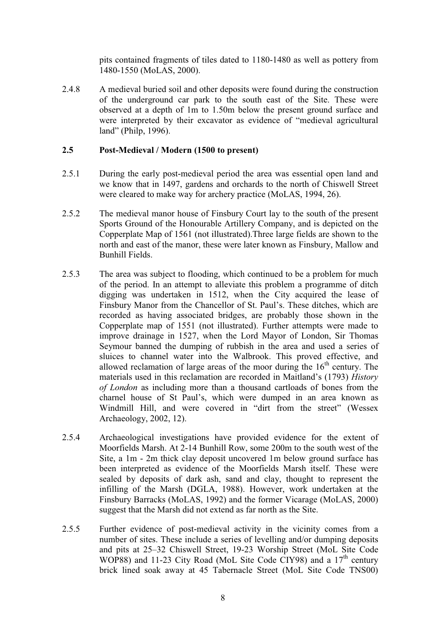pits contained fragments of tiles dated to 1180-1480 as well as pottery from 1480-1550 (MoLAS, 2000).

2.4.8 A medieval buried soil and other deposits were found during the construction of the underground car park to the south east of the Site. These were observed at a depth of 1m to 1.50m below the present ground surface and were interpreted by their excavator as evidence of "medieval agricultural land" (Philp, 1996).

#### **2.5 Post-Medieval / Modern (1500 to present)**

- 2.5.1 During the early post-medieval period the area was essential open land and we know that in 1497, gardens and orchards to the north of Chiswell Street were cleared to make way for archery practice (MoLAS, 1994, 26).
- 2.5.2 The medieval manor house of Finsbury Court lay to the south of the present Sports Ground of the Honourable Artillery Company, and is depicted on the Copperplate Map of 1561 (not illustrated).Three large fields are shown to the north and east of the manor, these were later known as Finsbury, Mallow and Bunhill Fields.
- 2.5.3 The area was subject to flooding, which continued to be a problem for much of the period. In an attempt to alleviate this problem a programme of ditch digging was undertaken in 1512, when the City acquired the lease of Finsbury Manor from the Chancellor of St. Paul's. These ditches, which are recorded as having associated bridges, are probably those shown in the Copperplate map of 1551 (not illustrated). Further attempts were made to improve drainage in 1527, when the Lord Mayor of London, Sir Thomas Seymour banned the dumping of rubbish in the area and used a series of sluices to channel water into the Walbrook. This proved effective, and allowed reclamation of large areas of the moor during the  $16<sup>th</sup>$  century. The materials used in this reclamation are recorded in Maitland's (1793) *History of London* as including more than a thousand cartloads of bones from the charnel house of St Paul's, which were dumped in an area known as Windmill Hill, and were covered in "dirt from the street" (Wessex Archaeology, 2002, 12).
- 2.5.4 Archaeological investigations have provided evidence for the extent of Moorfields Marsh. At 2-14 Bunhill Row, some 200m to the south west of the Site, a 1m - 2m thick clay deposit uncovered 1m below ground surface has been interpreted as evidence of the Moorfields Marsh itself. These were sealed by deposits of dark ash, sand and clay, thought to represent the infilling of the Marsh (DGLA, 1988). However, work undertaken at the Finsbury Barracks (MoLAS, 1992) and the former Vicarage (MoLAS, 2000) suggest that the Marsh did not extend as far north as the Site.
- 2.5.5 Further evidence of post-medieval activity in the vicinity comes from a number of sites. These include a series of levelling and/or dumping deposits and pits at 25–32 Chiswell Street, 19-23 Worship Street (MoL Site Code WOP88) and 11-23 City Road (MoL Site Code CIY98) and a  $17<sup>th</sup>$  century brick lined soak away at 45 Tabernacle Street (MoL Site Code TNS00)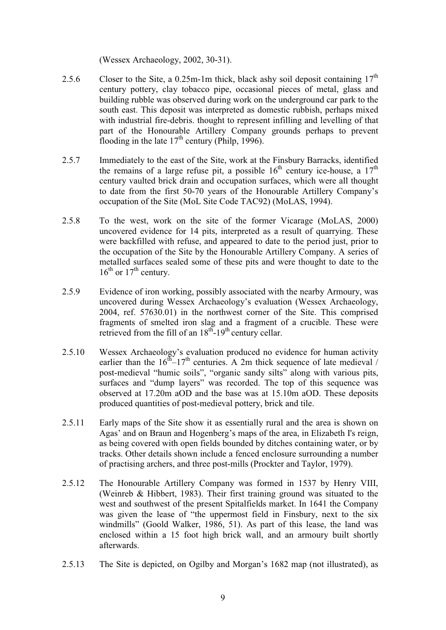(Wessex Archaeology, 2002, 30-31).

- 2.5.6 Closer to the Site, a 0.25m-1m thick, black ashy soil deposit containing  $17<sup>th</sup>$ century pottery, clay tobacco pipe, occasional pieces of metal, glass and building rubble was observed during work on the underground car park to the south east. This deposit was interpreted as domestic rubbish, perhaps mixed with industrial fire-debris. thought to represent infilling and levelling of that part of the Honourable Artillery Company grounds perhaps to prevent flooding in the late  $17<sup>th</sup>$  century (Philp, 1996).
- 2.5.7 Immediately to the east of the Site, work at the Finsbury Barracks, identified the remains of a large refuse pit, a possible  $16<sup>th</sup>$  century ice-house, a  $17<sup>th</sup>$ century vaulted brick drain and occupation surfaces, which were all thought to date from the first 50-70 years of the Honourable Artillery Company's occupation of the Site (MoL Site Code TAC92) (MoLAS, 1994).
- 2.5.8 To the west, work on the site of the former Vicarage (MoLAS, 2000) uncovered evidence for 14 pits, interpreted as a result of quarrying. These were backfilled with refuse, and appeared to date to the period just, prior to the occupation of the Site by the Honourable Artillery Company. A series of metalled surfaces sealed some of these pits and were thought to date to the  $16^{th}$  or  $17^{th}$  century.
- 2.5.9 Evidence of iron working, possibly associated with the nearby Armoury, was uncovered during Wessex Archaeology's evaluation (Wessex Archaeology, 2004, ref. 57630.01) in the northwest corner of the Site. This comprised fragments of smelted iron slag and a fragment of a crucible. These were retrieved from the fill of an  $18^{th}$ -19<sup>th</sup> century cellar.
- 2.5.10 Wessex Archaeology's evaluation produced no evidence for human activity earlier than the  $16^{th} - 17^{th}$  centuries. A 2m thick sequence of late medieval / post-medieval "humic soils", "organic sandy silts" along with various pits, surfaces and "dump layers" was recorded. The top of this sequence was observed at 17.20m aOD and the base was at 15.10m aOD. These deposits produced quantities of post-medieval pottery, brick and tile.
- 2.5.11 Early maps of the Site show it as essentially rural and the area is shown on Agas' and on Braun and Hogenberg's maps of the area, in Elizabeth I's reign, as being covered with open fields bounded by ditches containing water, or by tracks. Other details shown include a fenced enclosure surrounding a number of practising archers, and three post-mills (Prockter and Taylor, 1979).
- 2.5.12 The Honourable Artillery Company was formed in 1537 by Henry VIII, (Weinreb & Hibbert, 1983). Their first training ground was situated to the west and southwest of the present Spitalfields market. In 1641 the Company was given the lease of "the uppermost field in Finsbury, next to the six windmills" (Goold Walker, 1986, 51). As part of this lease, the land was enclosed within a 15 foot high brick wall, and an armoury built shortly afterwards.
- 2.5.13 The Site is depicted, on Ogilby and Morgan's 1682 map (not illustrated), as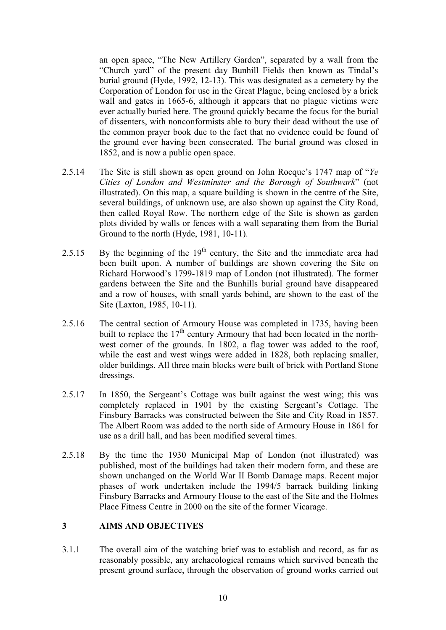an open space, "The New Artillery Garden", separated by a wall from the "Church yard" of the present day Bunhill Fields then known as Tindal's burial ground (Hyde, 1992, 12-13). This was designated as a cemetery by the Corporation of London for use in the Great Plague, being enclosed by a brick wall and gates in 1665-6, although it appears that no plague victims were ever actually buried here. The ground quickly became the focus for the burial of dissenters, with nonconformists able to bury their dead without the use of the common prayer book due to the fact that no evidence could be found of the ground ever having been consecrated. The burial ground was closed in 1852, and is now a public open space.

- 2.5.14 The Site is still shown as open ground on John Rocque's 1747 map of "*Ye Cities of London and Westminster and the Borough of Southwark*" (not illustrated). On this map, a square building is shown in the centre of the Site, several buildings, of unknown use, are also shown up against the City Road, then called Royal Row. The northern edge of the Site is shown as garden plots divided by walls or fences with a wall separating them from the Burial Ground to the north (Hyde, 1981, 10-11).
- 2.5.15 By the beginning of the  $19<sup>th</sup>$  century, the Site and the immediate area had been built upon. A number of buildings are shown covering the Site on Richard Horwood's 1799-1819 map of London (not illustrated). The former gardens between the Site and the Bunhills burial ground have disappeared and a row of houses, with small yards behind, are shown to the east of the Site (Laxton, 1985, 10-11).
- 2.5.16 The central section of Armoury House was completed in 1735, having been built to replace the  $17<sup>th</sup>$  century Armoury that had been located in the northwest corner of the grounds. In 1802, a flag tower was added to the roof, while the east and west wings were added in 1828, both replacing smaller, older buildings. All three main blocks were built of brick with Portland Stone dressings.
- 2.5.17 In 1850, the Sergeant's Cottage was built against the west wing; this was completely replaced in 1901 by the existing Sergeant's Cottage. The Finsbury Barracks was constructed between the Site and City Road in 1857. The Albert Room was added to the north side of Armoury House in 1861 for use as a drill hall, and has been modified several times.
- 2.5.18 By the time the 1930 Municipal Map of London (not illustrated) was published, most of the buildings had taken their modern form, and these are shown unchanged on the World War II Bomb Damage maps. Recent major phases of work undertaken include the 1994/5 barrack building linking Finsbury Barracks and Armoury House to the east of the Site and the Holmes Place Fitness Centre in 2000 on the site of the former Vicarage.

#### **3 AIMS AND OBJECTIVES**

3.1.1 The overall aim of the watching brief was to establish and record, as far as reasonably possible, any archaeological remains which survived beneath the present ground surface, through the observation of ground works carried out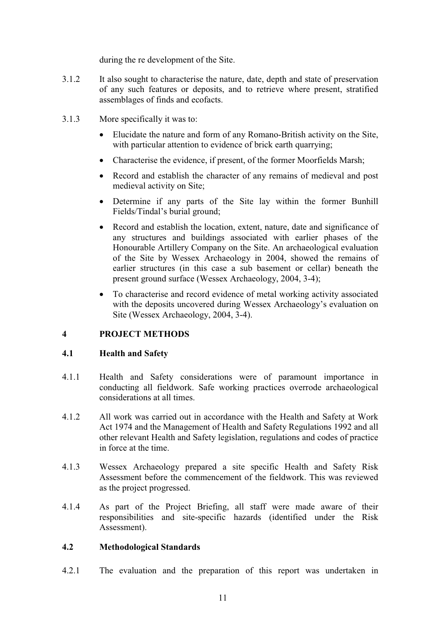during the re development of the Site.

- 3.1.2 It also sought to characterise the nature, date, depth and state of preservation of any such features or deposits, and to retrieve where present, stratified assemblages of finds and ecofacts.
- 3.1.3 More specifically it was to:
	- Elucidate the nature and form of any Romano-British activity on the Site, with particular attention to evidence of brick earth quarrying;
	- Characterise the evidence, if present, of the former Moorfields Marsh;
	- Record and establish the character of any remains of medieval and post medieval activity on Site;
	- Determine if any parts of the Site lay within the former Bunhill Fields/Tindal's burial ground;
	- Record and establish the location, extent, nature, date and significance of any structures and buildings associated with earlier phases of the Honourable Artillery Company on the Site. An archaeological evaluation of the Site by Wessex Archaeology in 2004, showed the remains of earlier structures (in this case a sub basement or cellar) beneath the present ground surface (Wessex Archaeology, 2004, 3-4);
	- To characterise and record evidence of metal working activity associated with the deposits uncovered during Wessex Archaeology's evaluation on Site (Wessex Archaeology, 2004, 3-4).

#### **4 PROJECT METHODS**

#### **4.1 Health and Safety**

- 4.1.1 Health and Safety considerations were of paramount importance in conducting all fieldwork. Safe working practices overrode archaeological considerations at all times.
- 4.1.2 All work was carried out in accordance with the Health and Safety at Work Act 1974 and the Management of Health and Safety Regulations 1992 and all other relevant Health and Safety legislation, regulations and codes of practice in force at the time.
- 4.1.3 Wessex Archaeology prepared a site specific Health and Safety Risk Assessment before the commencement of the fieldwork. This was reviewed as the project progressed.
- 4.1.4 As part of the Project Briefing, all staff were made aware of their responsibilities and site-specific hazards (identified under the Risk Assessment).

#### **4.2 Methodological Standards**

4.2.1 The evaluation and the preparation of this report was undertaken in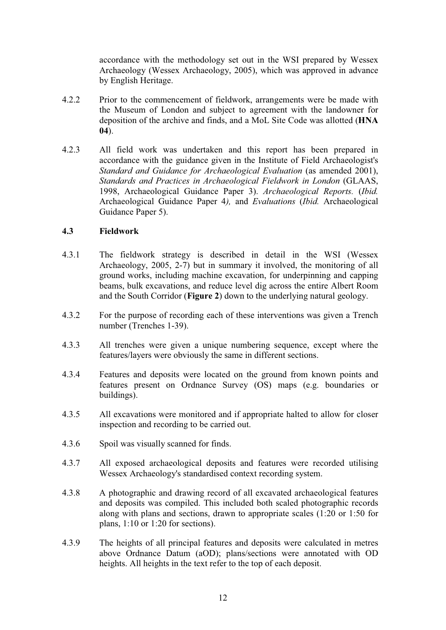accordance with the methodology set out in the WSI prepared by Wessex Archaeology (Wessex Archaeology, 2005), which was approved in advance by English Heritage.

- 4.2.2 Prior to the commencement of fieldwork, arrangements were be made with the Museum of London and subject to agreement with the landowner for deposition of the archive and finds, and a MoL Site Code was allotted (**HNA 04**).
- 4.2.3 All field work was undertaken and this report has been prepared in accordance with the guidance given in the Institute of Field Archaeologist's *Standard and Guidance for Archaeological Evaluation* (as amended 2001), *Standards and Practices in Archaeological Fieldwork in London* (GLAAS, 1998, Archaeological Guidance Paper 3). *Archaeological Reports.* (*Ibid.* Archaeological Guidance Paper 4*),* and *Evaluations* (*Ibid.* Archaeological Guidance Paper 5).

#### **4.3 Fieldwork**

- 4.3.1 The fieldwork strategy is described in detail in the WSI (Wessex Archaeology, 2005, 2-7) but in summary it involved, the monitoring of all ground works, including machine excavation, for underpinning and capping beams, bulk excavations, and reduce level dig across the entire Albert Room and the South Corridor (**Figure 2**) down to the underlying natural geology.
- 4.3.2 For the purpose of recording each of these interventions was given a Trench number (Trenches 1-39).
- 4.3.3 All trenches were given a unique numbering sequence, except where the features/layers were obviously the same in different sections.
- 4.3.4 Features and deposits were located on the ground from known points and features present on Ordnance Survey (OS) maps (e.g. boundaries or buildings).
- 4.3.5 All excavations were monitored and if appropriate halted to allow for closer inspection and recording to be carried out.
- 4.3.6 Spoil was visually scanned for finds.
- 4.3.7 All exposed archaeological deposits and features were recorded utilising Wessex Archaeology's standardised context recording system.
- 4.3.8 A photographic and drawing record of all excavated archaeological features and deposits was compiled. This included both scaled photographic records along with plans and sections, drawn to appropriate scales (1:20 or 1:50 for plans, 1:10 or 1:20 for sections).
- 4.3.9 The heights of all principal features and deposits were calculated in metres above Ordnance Datum (aOD); plans/sections were annotated with OD heights. All heights in the text refer to the top of each deposit.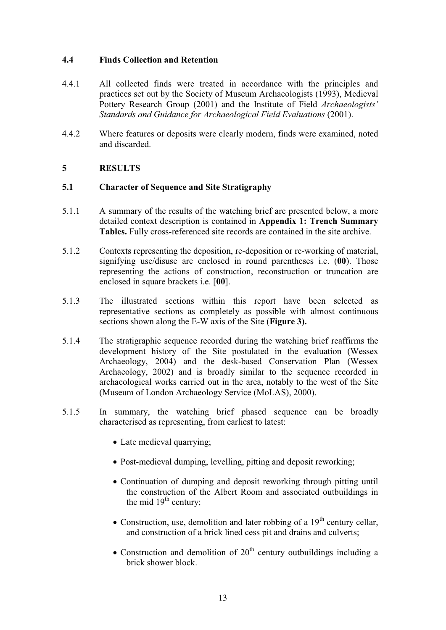#### **4.4 Finds Collection and Retention**

- 4.4.1 All collected finds were treated in accordance with the principles and practices set out by the Society of Museum Archaeologists (1993), Medieval Pottery Research Group (2001) and the Institute of Field *Archaeologists' Standards and Guidance for Archaeological Field Evaluations* (2001).
- 4.4.2 Where features or deposits were clearly modern, finds were examined, noted and discarded.

#### **5 RESULTS**

#### **5.1 Character of Sequence and Site Stratigraphy**

- 5.1.1 A summary of the results of the watching brief are presented below, a more detailed context description is contained in **Appendix 1: Trench Summary Tables.** Fully cross-referenced site records are contained in the site archive.
- 5.1.2 Contexts representing the deposition, re-deposition or re-working of material, signifying use/disuse are enclosed in round parentheses i.e. (**00**). Those representing the actions of construction, reconstruction or truncation are enclosed in square brackets i.e. [**00**].
- 5.1.3 The illustrated sections within this report have been selected as representative sections as completely as possible with almost continuous sections shown along the E-W axis of the Site (**Figure 3).**
- 5.1.4 The stratigraphic sequence recorded during the watching brief reaffirms the development history of the Site postulated in the evaluation (Wessex Archaeology, 2004) and the desk-based Conservation Plan (Wessex Archaeology, 2002) and is broadly similar to the sequence recorded in archaeological works carried out in the area, notably to the west of the Site (Museum of London Archaeology Service (MoLAS), 2000).
- 5.1.5 In summary, the watching brief phased sequence can be broadly characterised as representing, from earliest to latest:
	- Late medieval quarrying;
	- Post-medieval dumping, levelling, pitting and deposit reworking;
	- Continuation of dumping and deposit reworking through pitting until the construction of the Albert Room and associated outbuildings in the mid  $19<sup>th</sup>$  century;
	- Construction, use, demolition and later robbing of a  $19<sup>th</sup>$  century cellar, and construction of a brick lined cess pit and drains and culverts;
	- Construction and demolition of  $20<sup>th</sup>$  century outbuildings including a brick shower block.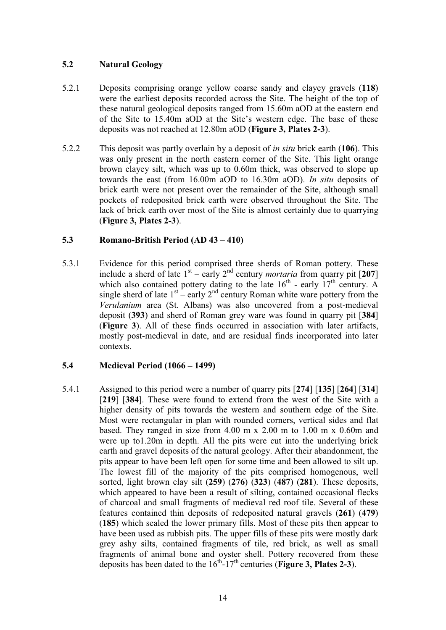#### **5.2 Natural Geology**

- 5.2.1 Deposits comprising orange yellow coarse sandy and clayey gravels (**118**) were the earliest deposits recorded across the Site. The height of the top of these natural geological deposits ranged from 15.60m aOD at the eastern end of the Site to 15.40m aOD at the Site's western edge. The base of these deposits was not reached at 12.80m aOD (**Figure 3, Plates 2-3**).
- 5.2.2 This deposit was partly overlain by a deposit of *in situ* brick earth (**106**). This was only present in the north eastern corner of the Site. This light orange brown clayey silt, which was up to 0.60m thick, was observed to slope up towards the east (from 16.00m aOD to 16.30m aOD). *In situ* deposits of brick earth were not present over the remainder of the Site, although small pockets of redeposited brick earth were observed throughout the Site. The lack of brick earth over most of the Site is almost certainly due to quarrying (**Figure 3, Plates 2-3**).

#### **5.3 Romano-British Period (AD 43 – 410)**

5.3.1 Evidence for this period comprised three sherds of Roman pottery. These include a sherd of late  $1<sup>st</sup> -$ early  $2<sup>nd</sup>$  century *mortaria* from quarry pit [207] which also contained pottery dating to the late  $16<sup>th</sup>$  - early  $17<sup>th</sup>$  century. A single sherd of late  $1<sup>st</sup>$  – early  $2<sup>nd</sup>$  century Roman white ware pottery from the *Verulanium* area (St. Albans) was also uncovered from a post-medieval deposit (**393**) and sherd of Roman grey ware was found in quarry pit [**384**] (**Figure 3**). All of these finds occurred in association with later artifacts, mostly post-medieval in date, and are residual finds incorporated into later contexts.

#### **5.4 Medieval Period (1066 – 1499)**

5.4.1 Assigned to this period were a number of quarry pits [**274**] [**135**] [**264**] [**314**] [**219**] [**384**]. These were found to extend from the west of the Site with a higher density of pits towards the western and southern edge of the Site. Most were rectangular in plan with rounded corners, vertical sides and flat based. They ranged in size from 4.00 m x 2.00 m to 1.00 m x 0.60m and were up to1.20m in depth. All the pits were cut into the underlying brick earth and gravel deposits of the natural geology. After their abandonment, the pits appear to have been left open for some time and been allowed to silt up. The lowest fill of the majority of the pits comprised homogenous, well sorted, light brown clay silt (**259**) (**276**) (**323**) (**487**) (**281**). These deposits, which appeared to have been a result of silting, contained occasional flecks of charcoal and small fragments of medieval red roof tile. Several of these features contained thin deposits of redeposited natural gravels (**261**) (**479**) (**185**) which sealed the lower primary fills. Most of these pits then appear to have been used as rubbish pits. The upper fills of these pits were mostly dark grey ashy silts, contained fragments of tile, red brick, as well as small fragments of animal bone and oyster shell. Pottery recovered from these deposits has been dated to the  $16^{th}$ - $17^{th}$  centuries (**Figure 3, Plates 2-3**).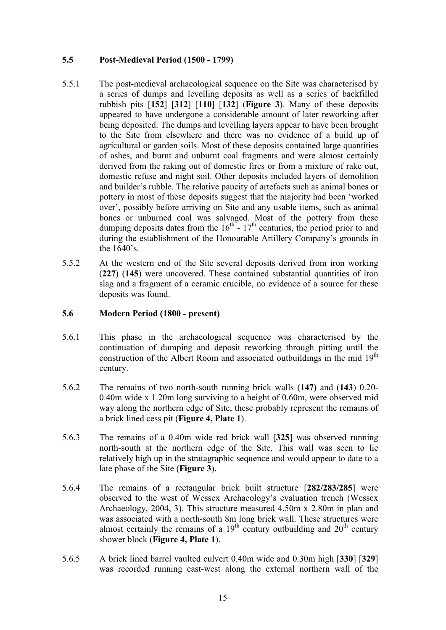#### **5.5 Post-Medieval Period (1500 - 1799)**

- 5.5.1 The post-medieval archaeological sequence on the Site was characterised by a series of dumps and levelling deposits as well as a series of backfilled rubbish pits [**152**] [**312**] [**110**] [**132**] (**Figure 3**). Many of these deposits appeared to have undergone a considerable amount of later reworking after being deposited. The dumps and levelling layers appear to have been brought to the Site from elsewhere and there was no evidence of a build up of agricultural or garden soils. Most of these deposits contained large quantities of ashes, and burnt and unburnt coal fragments and were almost certainly derived from the raking out of domestic fires or from a mixture of rake out, domestic refuse and night soil. Other deposits included layers of demolition and builder's rubble. The relative paucity of artefacts such as animal bones or pottery in most of these deposits suggest that the majority had been 'worked over', possibly before arriving on Site and any usable items, such as animal bones or unburned coal was salvaged. Most of the pottery from these dumping deposits dates from the  $16<sup>th</sup> - 17<sup>th</sup>$  centuries, the period prior to and during the establishment of the Honourable Artillery Company's grounds in the 1640's.
- 5.5.2 At the western end of the Site several deposits derived from iron working (**227**) (**145**) were uncovered. These contained substantial quantities of iron slag and a fragment of a ceramic crucible, no evidence of a source for these deposits was found.

#### **5.6 Modern Period (1800 - present)**

- 5.6.1 This phase in the archaeological sequence was characterised by the continuation of dumping and deposit reworking through pitting until the construction of the Albert Room and associated outbuildings in the mid  $19<sup>th</sup>$ century.
- 5.6.2 The remains of two north-south running brick walls (**147)** and (**143**) 0.20- 0.40m wide x 1.20m long surviving to a height of 0.60m, were observed mid way along the northern edge of Site, these probably represent the remains of a brick lined cess pit (**Figure 4, Plate 1**).
- 5.6.3 The remains of a 0.40m wide red brick wall [**325**] was observed running north-south at the northern edge of the Site. This wall was seen to lie relatively high up in the stratagraphic sequence and would appear to date to a late phase of the Site (**Figure 3**)**.**
- 5.6.4 The remains of a rectangular brick built structure [**282/283/285**] were observed to the west of Wessex Archaeology's evaluation trench (Wessex Archaeology, 2004, 3). This structure measured 4.50m x 2.80m in plan and was associated with a north-south 8m long brick wall. These structures were almost certainly the remains of a  $19<sup>th</sup>$  century outbuilding and  $20<sup>th</sup>$  century shower block (**Figure 4, Plate 1**).
- 5.6.5 A brick lined barrel vaulted culvert 0.40m wide and 0.30m high [**330**] [**329**] was recorded running east-west along the external northern wall of the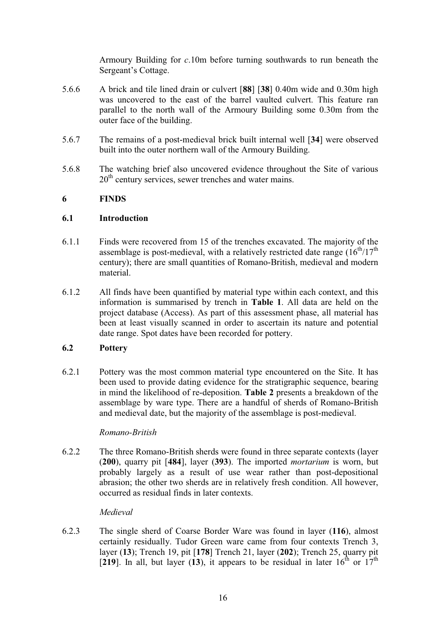Armoury Building for *c*.10m before turning southwards to run beneath the Sergeant's Cottage.

- 5.6.6 A brick and tile lined drain or culvert [**88**] [**38**] 0.40m wide and 0.30m high was uncovered to the east of the barrel vaulted culvert. This feature ran parallel to the north wall of the Armoury Building some 0.30m from the outer face of the building.
- 5.6.7 The remains of a post-medieval brick built internal well [**34**] were observed built into the outer northern wall of the Armoury Building.
- 5.6.8 The watching brief also uncovered evidence throughout the Site of various  $20<sup>th</sup>$  century services, sewer trenches and water mains.

#### **6 FINDS**

#### **6.1 Introduction**

- 6.1.1 Finds were recovered from 15 of the trenches excavated. The majority of the assemblage is post-medieval, with a relatively restricted date range  $(16<sup>th</sup>/17<sup>th</sup>)$ century); there are small quantities of Romano-British, medieval and modern material.
- 6.1.2 All finds have been quantified by material type within each context, and this information is summarised by trench in **Table 1**. All data are held on the project database (Access). As part of this assessment phase, all material has been at least visually scanned in order to ascertain its nature and potential date range. Spot dates have been recorded for pottery.

#### **6.2 Pottery**

6.2.1 Pottery was the most common material type encountered on the Site. It has been used to provide dating evidence for the stratigraphic sequence, bearing in mind the likelihood of re-deposition. **Table 2** presents a breakdown of the assemblage by ware type. There are a handful of sherds of Romano-British and medieval date, but the majority of the assemblage is post-medieval.

#### *Romano-British*

6.2.2 The three Romano-British sherds were found in three separate contexts (layer (**200**), quarry pit [**484**], layer (**393**). The imported *mortarium* is worn, but probably largely as a result of use wear rather than post-depositional abrasion; the other two sherds are in relatively fresh condition. All however, occurred as residual finds in later contexts.

#### *Medieval*

6.2.3 The single sherd of Coarse Border Ware was found in layer (**116**), almost certainly residually. Tudor Green ware came from four contexts Trench 3, layer (**13**); Trench 19, pit [**178**] Trench 21, layer (**202**); Trench 25, quarry pit [219]. In all, but layer (13), it appears to be residual in later  $16^{th}$  or  $17^{th}$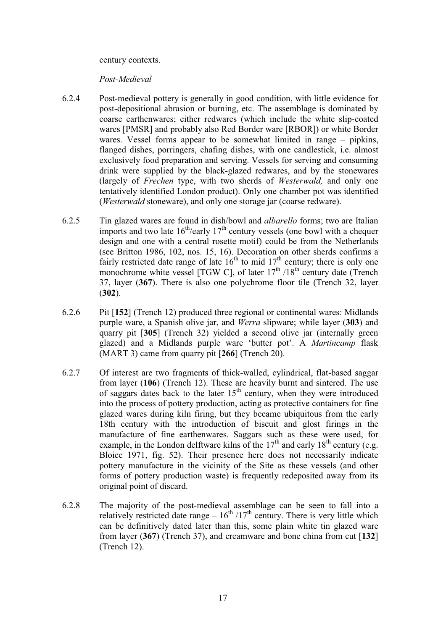#### century contexts.

#### *Post-Medieval*

- 6.2.4 Post-medieval pottery is generally in good condition, with little evidence for post-depositional abrasion or burning, etc. The assemblage is dominated by coarse earthenwares; either redwares (which include the white slip-coated wares [PMSR] and probably also Red Border ware [RBOR]) or white Border wares. Vessel forms appear to be somewhat limited in range – pipkins, flanged dishes, porringers, chafing dishes, with one candlestick, i.e. almost exclusively food preparation and serving. Vessels for serving and consuming drink were supplied by the black-glazed redwares, and by the stonewares (largely of *Frechen* type, with two sherds of *Westerwald,* and only one tentatively identified London product). Only one chamber pot was identified (*Westerwald* stoneware), and only one storage jar (coarse redware).
- 6.2.5 Tin glazed wares are found in dish/bowl and *albarello* forms; two are Italian imports and two late  $16^{th}/\text{early } 17^{th}$  century vessels (one bowl with a chequer design and one with a central rosette motif) could be from the Netherlands (see Britton 1986, 102, nos. 15, 16). Decoration on other sherds confirms a fairly restricted date range of late  $16<sup>th</sup>$  to mid  $17<sup>th</sup>$  century; there is only one monochrome white vessel [TGW C], of later  $17<sup>th</sup> / 18<sup>th</sup>$  century date (Trench 37, layer (**367**). There is also one polychrome floor tile (Trench 32, layer (**302**).
- 6.2.6 Pit [**152**] (Trench 12) produced three regional or continental wares: Midlands purple ware, a Spanish olive jar, and *Werra* slipware; while layer (**303**) and quarry pit [**305**] (Trench 32) yielded a second olive jar (internally green glazed) and a Midlands purple ware 'butter pot'. A *Martincamp* flask (MART 3) came from quarry pit [**266**] (Trench 20).
- 6.2.7 Of interest are two fragments of thick-walled, cylindrical, flat-based saggar from layer (**106**) (Trench 12). These are heavily burnt and sintered. The use of saggars dates back to the later  $15<sup>th</sup>$  century, when they were introduced into the process of pottery production, acting as protective containers for fine glazed wares during kiln firing, but they became ubiquitous from the early 18th century with the introduction of biscuit and glost firings in the manufacture of fine earthenwares. Saggars such as these were used, for example, in the London delftware kilns of the  $17<sup>th</sup>$  and early  $18<sup>th</sup>$  century (e.g. Bloice 1971, fig. 52). Their presence here does not necessarily indicate pottery manufacture in the vicinity of the Site as these vessels (and other forms of pottery production waste) is frequently redeposited away from its original point of discard.
- 6.2.8 The majority of the post-medieval assemblage can be seen to fall into a relatively restricted date range  $-16^{th}/17^{th}$  century. There is very little which can be definitively dated later than this, some plain white tin glazed ware from layer (**367**) (Trench 37), and creamware and bone china from cut [**132**] (Trench 12).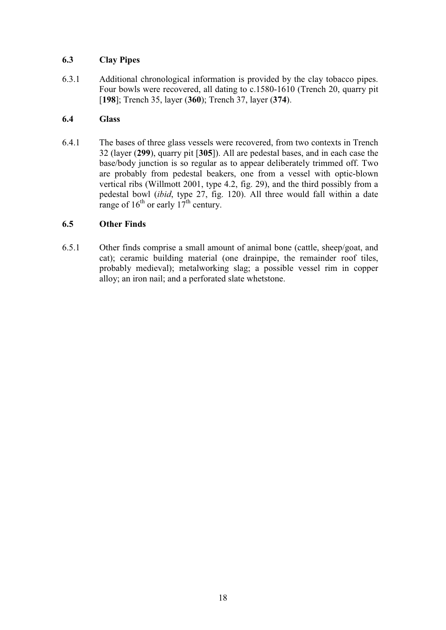#### **6.3 Clay Pipes**

6.3.1 Additional chronological information is provided by the clay tobacco pipes. Four bowls were recovered, all dating to c.1580-1610 (Trench 20, quarry pit [**198**]; Trench 35, layer (**360**); Trench 37, layer (**374**).

#### **6.4 Glass**

6.4.1 The bases of three glass vessels were recovered, from two contexts in Trench 32 (layer (**299**), quarry pit [**305**]). All are pedestal bases, and in each case the base/body junction is so regular as to appear deliberately trimmed off. Two are probably from pedestal beakers, one from a vessel with optic-blown vertical ribs (Willmott 2001, type 4.2, fig. 29), and the third possibly from a pedestal bowl (*ibid*, type 27, fig. 120). All three would fall within a date range of  $16^{th}$  or early  $17^{th}$  century.

#### **6.5 Other Finds**

6.5.1 Other finds comprise a small amount of animal bone (cattle, sheep/goat, and cat); ceramic building material (one drainpipe, the remainder roof tiles, probably medieval); metalworking slag; a possible vessel rim in copper alloy; an iron nail; and a perforated slate whetstone.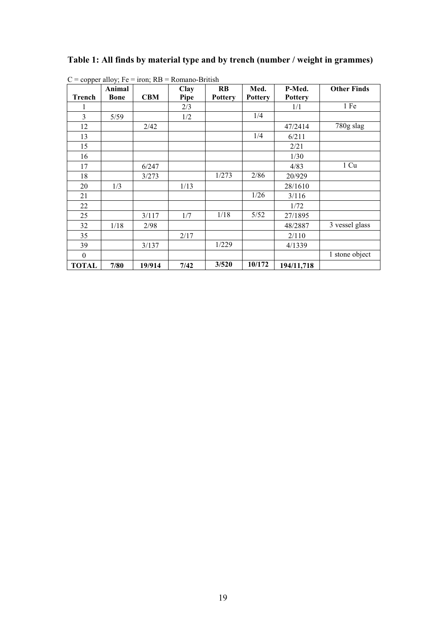#### **Table 1: All finds by material type and by trench (number / weight in grammes)**

| ∸              | $\overline{\phantom{a}}$<br>Animal |            | Clay | <b>RB</b>      | Med.           | P-Med.         | <b>Other Finds</b> |
|----------------|------------------------------------|------------|------|----------------|----------------|----------------|--------------------|
| <b>Trench</b>  | <b>Bone</b>                        | <b>CBM</b> | Pipe | <b>Pottery</b> | <b>Pottery</b> | <b>Pottery</b> |                    |
| 1              |                                    |            | 2/3  |                |                | 1/1            | 1 Fe               |
| $\mathfrak{Z}$ | 5/59                               |            | 1/2  |                | 1/4            |                |                    |
| 12             |                                    | 2/42       |      |                |                | 47/2414        | 780g slag          |
| 13             |                                    |            |      |                | 1/4            | 6/211          |                    |
| 15             |                                    |            |      |                |                | 2/21           |                    |
| 16             |                                    |            |      |                |                | 1/30           |                    |
| 17             |                                    | 6/247      |      |                |                | 4/83           | 1 Cu               |
| 18             |                                    | 3/273      |      | 1/273          | 2/86           | 20/929         |                    |
| 20             | 1/3                                |            | 1/13 |                |                | 28/1610        |                    |
| 21             |                                    |            |      |                | 1/26           | 3/116          |                    |
| 22             |                                    |            |      |                |                | 1/72           |                    |
| 25             |                                    | 3/117      | 1/7  | 1/18           | 5/52           | 27/1895        |                    |
| 32             | 1/18                               | 2/98       |      |                |                | 48/2887        | 3 vessel glass     |
| 35             |                                    |            | 2/17 |                |                | 2/110          |                    |
| 39             |                                    | 3/137      |      | 1/229          |                | 4/1339         |                    |
| $\mathbf{0}$   |                                    |            |      |                |                |                | 1 stone object     |
| <b>TOTAL</b>   | 7/80                               | 19/914     | 7/42 | 3/520          | 10/172         | 194/11,718     |                    |

 $C =$  copper alloy; Fe = iron; RB = Romano-British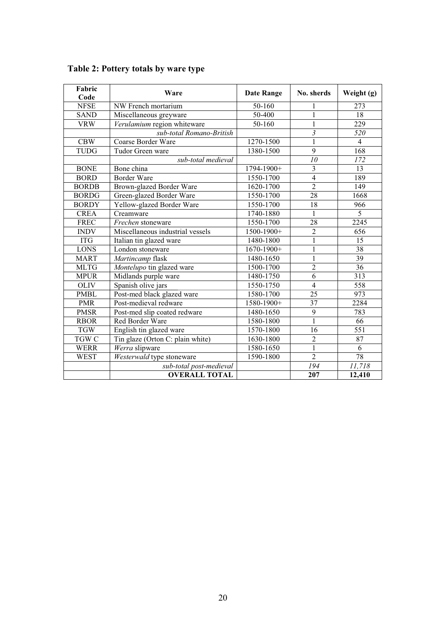| Fabric       | Ware                             | <b>Date Range</b> | No. sherds      | Weight (g)              |
|--------------|----------------------------------|-------------------|-----------------|-------------------------|
| Code         |                                  |                   |                 |                         |
| <b>NFSE</b>  | NW French mortarium              | 50-160            | 1               | 273                     |
| <b>SAND</b>  | Miscellaneous greyware           | 50-400            | $\mathbf{1}$    | 18                      |
| <b>VRW</b>   | Verulamium region whiteware      | 50-160            | 1               | 229                     |
|              | sub-total Romano-British         |                   | $\mathfrak{Z}$  | 520                     |
| <b>CBW</b>   | Coarse Border Ware               | 1270-1500         | $\mathbf{1}$    | $\overline{\mathbf{4}}$ |
| <b>TUDG</b>  | Tudor Green ware                 | 1380-1500         | 9               | 168                     |
|              | sub-total medieval               |                   | 10              | 172                     |
| <b>BONE</b>  | Bone china                       | 1794-1900+        | 3               | 13                      |
| <b>BORD</b>  | <b>Border Ware</b>               | 1550-1700         | $\overline{4}$  | 189                     |
| <b>BORDB</b> | Brown-glazed Border Ware         | 1620-1700         | $\overline{2}$  | 149                     |
| <b>BORDG</b> | Green-glazed Border Ware         | 1550-1700         | $\overline{28}$ | 1668                    |
| <b>BORDY</b> | Yellow-glazed Border Ware        | 1550-1700         | 18              | 966                     |
| <b>CREA</b>  | Creamware                        | 1740-1880         | $\mathbf{1}$    | $\overline{5}$          |
| <b>FREC</b>  | Frechen stoneware                | 1550-1700         | 28              | 2245                    |
| <b>INDV</b>  | Miscellaneous industrial vessels | 1500-1900+        | $\overline{2}$  | 656                     |
| <b>ITG</b>   | Italian tin glazed ware          | 1480-1800         | $\mathbf{1}$    | $\overline{15}$         |
| <b>LONS</b>  | London stoneware                 | $1670 - 1900 +$   | $\mathbf{1}$    | 38                      |
| <b>MART</b>  | Martincamp flask                 | 1480-1650         | $\mathbf{1}$    | $\overline{39}$         |
| <b>MLTG</b>  | Montelupo tin glazed ware        | 1500-1700         | $\overline{2}$  | 36                      |
| <b>MPUR</b>  | Midlands purple ware             | 1480-1750         | 6               | 313                     |
| <b>OLIV</b>  | Spanish olive jars               | 1550-1750         | $\overline{4}$  | 558                     |
| <b>PMBL</b>  | Post-med black glazed ware       | 1580-1700         | 25              | 973                     |
| <b>PMR</b>   | Post-medieval redware            | 1580-1900+        | 37              | 2284                    |
| <b>PMSR</b>  | Post-med slip coated redware     | 1480-1650         | 9               | 783                     |
| <b>RBOR</b>  | Red Border Ware                  | 1580-1800         | $\mathbf{1}$    | 66                      |
| <b>TGW</b>   | English tin glazed ware          | 1570-1800         | 16              | 551                     |
| TGW C        | Tin glaze (Orton C: plain white) | 1630-1800         | $\overline{2}$  | 87                      |
| <b>WERR</b>  | Werra slipware                   | 1580-1650         | $\overline{1}$  | $\overline{6}$          |
| <b>WEST</b>  | Westerwald type stoneware        | 1590-1800         | $\overline{2}$  | $\overline{78}$         |
|              | sub-total post-medieval          |                   | 194             | 11,718                  |
|              | <b>OVERALL TOTAL</b>             |                   | 207             | 12,410                  |

#### **Table 2: Pottery totals by ware type**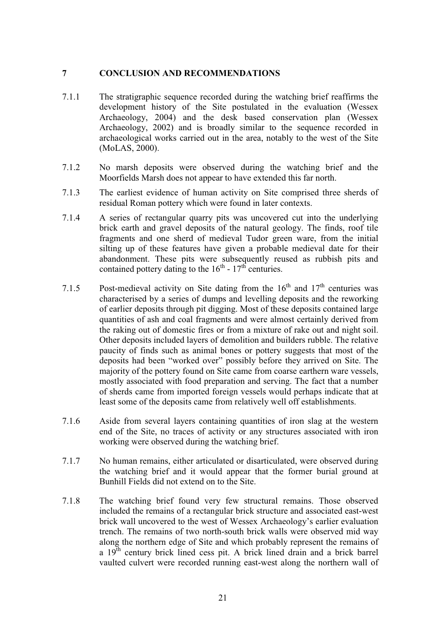#### **7 CONCLUSION AND RECOMMENDATIONS**

- 7.1.1 The stratigraphic sequence recorded during the watching brief reaffirms the development history of the Site postulated in the evaluation (Wessex Archaeology, 2004) and the desk based conservation plan (Wessex Archaeology, 2002) and is broadly similar to the sequence recorded in archaeological works carried out in the area, notably to the west of the Site (MoLAS, 2000).
- 7.1.2 No marsh deposits were observed during the watching brief and the Moorfields Marsh does not appear to have extended this far north.
- 7.1.3 The earliest evidence of human activity on Site comprised three sherds of residual Roman pottery which were found in later contexts.
- 7.1.4 A series of rectangular quarry pits was uncovered cut into the underlying brick earth and gravel deposits of the natural geology. The finds, roof tile fragments and one sherd of medieval Tudor green ware, from the initial silting up of these features have given a probable medieval date for their abandonment. These pits were subsequently reused as rubbish pits and contained pottery dating to the  $16<sup>th</sup>$  -  $17<sup>th</sup>$  centuries.
- 7.1.5 Post-medieval activity on Site dating from the  $16<sup>th</sup>$  and  $17<sup>th</sup>$  centuries was characterised by a series of dumps and levelling deposits and the reworking of earlier deposits through pit digging. Most of these deposits contained large quantities of ash and coal fragments and were almost certainly derived from the raking out of domestic fires or from a mixture of rake out and night soil. Other deposits included layers of demolition and builders rubble. The relative paucity of finds such as animal bones or pottery suggests that most of the deposits had been "worked over" possibly before they arrived on Site. The majority of the pottery found on Site came from coarse earthern ware vessels, mostly associated with food preparation and serving. The fact that a number of sherds came from imported foreign vessels would perhaps indicate that at least some of the deposits came from relatively well off establishments.
- 7.1.6 Aside from several layers containing quantities of iron slag at the western end of the Site, no traces of activity or any structures associated with iron working were observed during the watching brief.
- 7.1.7 No human remains, either articulated or disarticulated, were observed during the watching brief and it would appear that the former burial ground at Bunhill Fields did not extend on to the Site.
- 7.1.8 The watching brief found very few structural remains. Those observed included the remains of a rectangular brick structure and associated east-west brick wall uncovered to the west of Wessex Archaeology's earlier evaluation trench. The remains of two north-south brick walls were observed mid way along the northern edge of Site and which probably represent the remains of a  $19<sup>th</sup>$  century brick lined cess pit. A brick lined drain and a brick barrel vaulted culvert were recorded running east-west along the northern wall of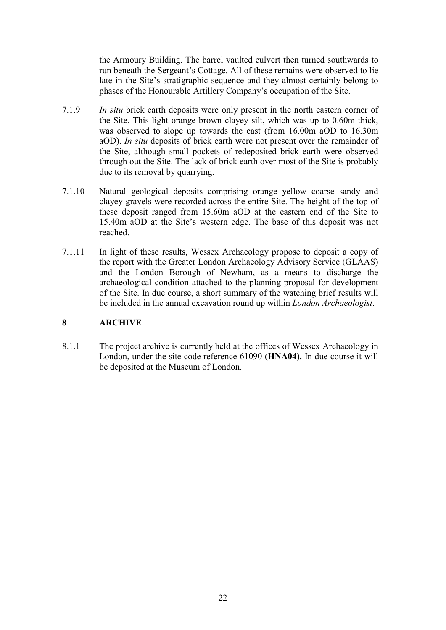the Armoury Building. The barrel vaulted culvert then turned southwards to run beneath the Sergeant's Cottage. All of these remains were observed to lie late in the Site's stratigraphic sequence and they almost certainly belong to phases of the Honourable Artillery Company's occupation of the Site.

- 7.1.9 *In situ* brick earth deposits were only present in the north eastern corner of the Site. This light orange brown clayey silt, which was up to 0.60m thick, was observed to slope up towards the east (from 16.00m aOD to 16.30m aOD). *In situ* deposits of brick earth were not present over the remainder of the Site, although small pockets of redeposited brick earth were observed through out the Site. The lack of brick earth over most of the Site is probably due to its removal by quarrying.
- 7.1.10 Natural geological deposits comprising orange yellow coarse sandy and clayey gravels were recorded across the entire Site. The height of the top of these deposit ranged from 15.60m aOD at the eastern end of the Site to 15.40m aOD at the Site's western edge. The base of this deposit was not reached.
- 7.1.11 In light of these results, Wessex Archaeology propose to deposit a copy of the report with the Greater London Archaeology Advisory Service (GLAAS) and the London Borough of Newham, as a means to discharge the archaeological condition attached to the planning proposal for development of the Site. In due course, a short summary of the watching brief results will be included in the annual excavation round up within *London Archaeologist*.

#### **8 ARCHIVE**

8.1.1 The project archive is currently held at the offices of Wessex Archaeology in London, under the site code reference 61090 (**HNA04).** In due course it will be deposited at the Museum of London.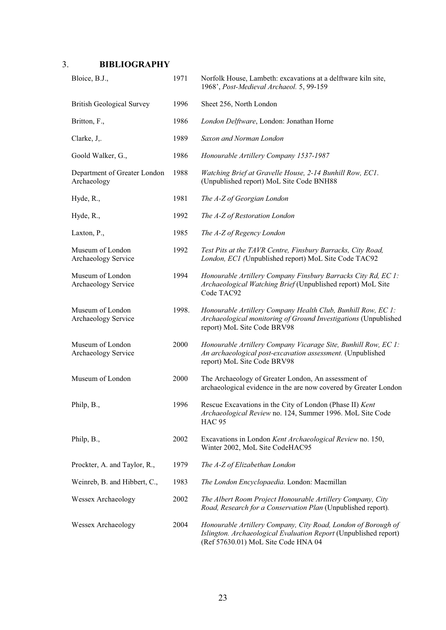#### 3. **BIBLIOGRAPHY**

| Bloice, B.J.,                               | 1971  | Norfolk House, Lambeth: excavations at a delftware kiln site,<br>1968', Post-Medieval Archaeol. 5, 99-159                                                                |
|---------------------------------------------|-------|--------------------------------------------------------------------------------------------------------------------------------------------------------------------------|
| <b>British Geological Survey</b>            | 1996  | Sheet 256, North London                                                                                                                                                  |
| Britton, F.,                                | 1986  | London Delftware, London: Jonathan Horne                                                                                                                                 |
| Clarke, J,.                                 | 1989  | Saxon and Norman London                                                                                                                                                  |
| Goold Walker, G.,                           | 1986  | Honourable Artillery Company 1537-1987                                                                                                                                   |
| Department of Greater London<br>Archaeology | 1988  | Watching Brief at Gravelle House, 2-14 Bunhill Row, EC1.<br>(Unpublished report) MoL Site Code BNH88                                                                     |
| Hyde, R.,                                   | 1981  | The A-Z of Georgian London                                                                                                                                               |
| Hyde, R.,                                   | 1992  | The A-Z of Restoration London                                                                                                                                            |
| Laxton, P.,                                 | 1985  | The A-Z of Regency London                                                                                                                                                |
| Museum of London<br>Archaeology Service     | 1992  | Test Pits at the TAVR Centre, Finsbury Barracks, City Road,<br>London, EC1 (Unpublished report) MoL Site Code TAC92                                                      |
| Museum of London<br>Archaeology Service     | 1994  | Honourable Artillery Company Finsbury Barracks City Rd, EC 1:<br>Archaeological Watching Brief (Unpublished report) MoL Site<br>Code TAC92                               |
| Museum of London<br>Archaeology Service     | 1998. | Honourable Artillery Company Health Club, Bunhill Row, EC 1:<br>Archaeological monitoring of Ground Investigations (Unpublished<br>report) MoL Site Code BRV98           |
| Museum of London<br>Archaeology Service     | 2000  | Honourable Artillery Company Vicarage Site, Bunhill Row, EC 1:<br>An archaeological post-excavation assessment. (Unpublished<br>report) MoL Site Code BRV98              |
| Museum of London                            | 2000  | The Archaeology of Greater London, An assessment of<br>archaeological evidence in the are now covered by Greater London                                                  |
| Philp, B.,                                  | 1996  | Rescue Excavations in the City of London (Phase II) Kent<br>Archaeological Review no. 124, Summer 1996. MoL Site Code<br><b>HAC 95</b>                                   |
| Philp, B.,                                  | 2002  | Excavations in London Kent Archaeological Review no. 150,<br>Winter 2002, MoL Site CodeHAC95                                                                             |
| Prockter, A. and Taylor, R.,                | 1979  | The A-Z of Elizabethan London                                                                                                                                            |
| Weinreb, B. and Hibbert, C.,                | 1983  | The London Encyclopaedia. London: Macmillan                                                                                                                              |
| Wessex Archaeology                          | 2002  | The Albert Room Project Honourable Artillery Company, City<br>Road, Research for a Conservation Plan (Unpublished report).                                               |
| Wessex Archaeology                          | 2004  | Honourable Artillery Company, City Road, London of Borough of<br>Islington. Archaeological Evaluation Report (Unpublished report)<br>(Ref 57630.01) MoL Site Code HNA 04 |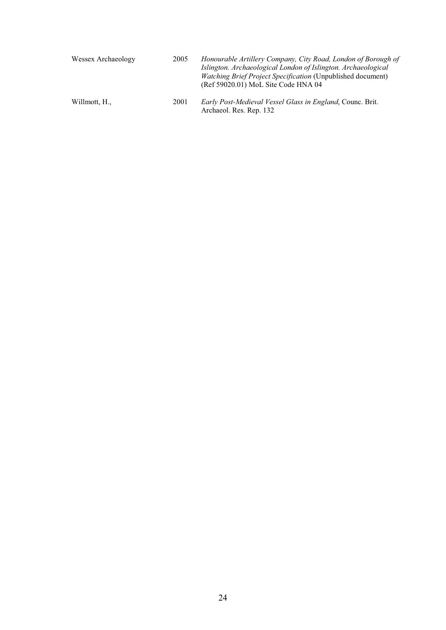| Wessex Archaeology | 2005 | Honourable Artillery Company, City Road, London of Borough of<br>Islington. Archaeological London of Islington. Archaeological<br><i>Watching Brief Project Specification</i> (Unpublished document)<br>(Ref 59020.01) MoL Site Code HNA 04 |
|--------------------|------|---------------------------------------------------------------------------------------------------------------------------------------------------------------------------------------------------------------------------------------------|
| Willmott, H.,      | 2001 | <i>Early Post-Medieval Vessel Glass in England, Counc. Brit.</i><br>Archaeol. Res. Rep. 132                                                                                                                                                 |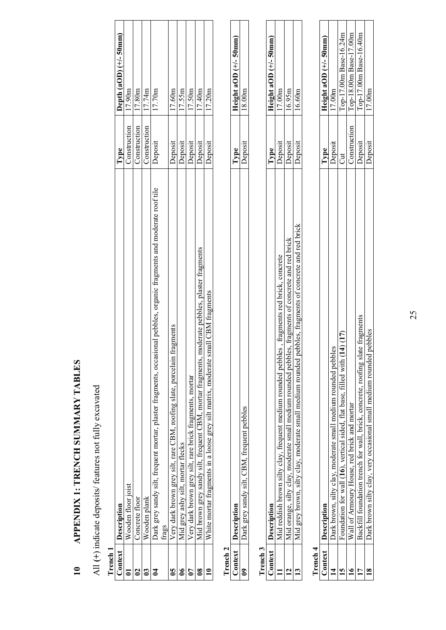| くりしげ             |  |
|------------------|--|
|                  |  |
|                  |  |
|                  |  |
|                  |  |
| ֕                |  |
| I<br>ׇ֚֡         |  |
|                  |  |
| -<br> <br> <br>֚ |  |
|                  |  |
|                  |  |
|                  |  |
|                  |  |
|                  |  |
| -<br> <br>       |  |
|                  |  |
|                  |  |
|                  |  |
|                  |  |
|                  |  |
|                  |  |
| i<br>!<br>!      |  |
|                  |  |
|                  |  |
|                  |  |
|                  |  |
|                  |  |
|                  |  |
|                  |  |
|                  |  |
| l                |  |
|                  |  |
|                  |  |
|                  |  |
| ׇ֚               |  |
|                  |  |
|                  |  |
|                  |  |
|                  |  |
| Í                |  |
|                  |  |
|                  |  |
|                  |  |
|                  |  |
| I                |  |
|                  |  |
|                  |  |

# All (+) indicate deposits/ features not fully excavated All **(+**) indicate deposits/ features not fully excavated

| -<br>٦ |  |
|--------|--|
|        |  |
|        |  |

| Context Description                                                                                                          | Type         | Depth $(aOD)$ $(+/- 50mm)$ |
|------------------------------------------------------------------------------------------------------------------------------|--------------|----------------------------|
| Wooden floor joist                                                                                                           | Construction | 17.90 <sub>m</sub>         |
| Concrete floor                                                                                                               | Construction | 17.80 <sub>m</sub>         |
| Wooden plank                                                                                                                 | Construction | 17.74m                     |
| onal pebbles, organic fragments and moderate roof tile<br>Dark grey sandy silt, frequent mortar, plaster fragments, occasion | Deposit      | 7.70 <sub>m</sub>          |
| frags                                                                                                                        |              |                            |
| Very dark brown grey silt, rare CBM, roofing slate, porcelain fragments                                                      | Deposit      | 17.60m                     |
| Mid grey ashy silt, mortar flecks                                                                                            | Deposit      | 17.55m                     |
| Very dark brown grey silt, rare brick fragments, mortar                                                                      | Deposit      | 17.50m                     |
| Mid brown grey sandy silt, frequent CBM, mortar fragments, moderate pebbles, plaster fragments                               | Deposit      | 17.40m                     |
| White mortar fragments in a loose grey silt matrix, moderate small CBM fragments                                             | Deposit      | 17.20m                     |
|                                                                                                                              |              |                            |

|  | ׇ֚֕֡ |  |
|--|------|--|
|  |      |  |

|                | ∑<br>N¤Z<br>֖֖֖֖֖֖֖֧ׅ֖ׅ֖ׅ֧֧֧֧ׅ֧֧֧֪ׅ֖֧֧֚֚֚֚֚֚֚֚֚֚֚֚֚֚֚֚֚֚֚֚֚֬֝֓֝֓֞֝֓֞֝֓֞֝֬֓֓֞֝֬֝֓֞֝֬֝֬ | Í |  |  |
|----------------|---------------------------------------------------------------------------------------|---|--|--|
|                |                                                                                       |   |  |  |
| <b>Second</b>  |                                                                                       |   |  |  |
| $\overline{a}$ | $\ddot{\phantom{a}}$                                                                  | I |  |  |

| <br> <br> |                                                                                      |                |                         |
|-----------|--------------------------------------------------------------------------------------|----------------|-------------------------|
|           |                                                                                      |                | Height aOD $(+/-50$ mm) |
|           | es, fragments red brick, concrete                                                    | <b>Jeposit</b> | 7.00 <sub>m</sub>       |
|           | les, tragments of concrete and red brick<br>d orange, suity clay, moderate small med | <b>Deposit</b> | 6.95m                   |
|           | abiles, fragments of concrete and red brick<br>monerate cma<br>i) C                  | <b>Deposit</b> | 6.60m                   |
|           |                                                                                      |                |                         |

| ۰ |  |
|---|--|
|   |  |
| ۷ |  |
|   |  |
|   |  |
|   |  |

| $\frac{1}{2}$ |                                                                                    |                |                        |
|---------------|------------------------------------------------------------------------------------|----------------|------------------------|
|               | escript                                                                            | ype            | Height aOD (+/-50mm)   |
|               | Jark brown, silty clay, moderate small medium rounded pebbles                      | Deposit        | $\frac{17.00m}{2}$     |
|               | (17)<br>4<br>oundation for wall (16), vertical sided, flat base, filled with (1    |                | Top-17.00m Base-16.24m |
|               | Wall of Armoury House, red brick and mortar                                        | Construction   | Top-18.00m Base-17.00m |
|               | e tragments<br>Backfill foundation trench for wall, brick, concrete, roofing slate | Deposit        | Top-17.00m Base-16.40m |
|               | ebbles<br>Dark brown silty clay, very occasional small medium rounded              | <b>Deposit</b> | 17.00m                 |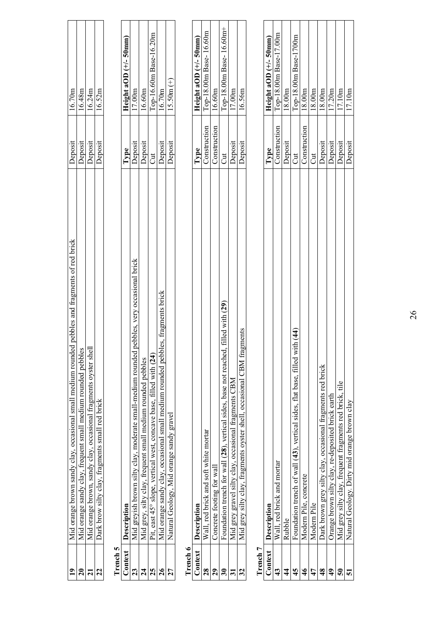| $\overline{19}$         | Mid orange brown sandy clay, occasional small medium rounded pebbles and fragments of red brick | Deposit      | 16.70m                   |
|-------------------------|-------------------------------------------------------------------------------------------------|--------------|--------------------------|
| $\overline{20}$         | Mid orange sandy clay, frequent small medium rounded pebbles                                    | Deposit      | 16.48m                   |
| $\overline{21}$         | Mid orange brown, sandy clay, occasional fragments oyster shel                                  | Deposit      | 16.24m                   |
| 22                      | Dark brow silty clay, fragments small red brick                                                 | Deposit      | 16.52m                   |
| Trench 5                |                                                                                                 |              |                          |
| Context                 | Description                                                                                     | Type         | Height aOD $(+/-50$ mm)  |
| 23                      | pebbles, very occasional brick<br>Mid greyish brown silty clay, moderate small-medium rounded   | Deposit      | 17.00 <sub>m</sub>       |
| 24                      | Mid grey, silty clay, frequent small medium rounded pebbles                                     | Deposit      | 16.60m                   |
| 25                      | Pit, east 45° slope, vertical west, concave base, filled with (24)                              | Jut          | Top-16.60m Base-16.20m   |
| 26                      | Mid orange sandy clay, occasional small medium rounded pebbles, fragments brick                 | Deposit      | 16.70m                   |
| 27                      | Natural Geology, Mid orange sandy gravel                                                        | Deposit      | $15.50m (+)$             |
| Trench 6                |                                                                                                 |              |                          |
| Context                 | Description                                                                                     | Type         | Height aOD $(+/-50$ mm)  |
| 28                      | Wall, red brick and soft white mortar                                                           | Construction | Top-18.00m Base-16.60m   |
| 29                      | Concrete footing for wal                                                                        | Construction | 16.60m                   |
| 30                      | filled with (29)<br>Foundation trench for wall (28), vertical sides, base not reached           | J            | Top-18.00m Base-16.60m+  |
| $\overline{31}$         | Mid grey gravel silty clay, occasional fragments CBM                                            | Deposit      | 17.00 <sub>m</sub>       |
| 32                      | Mid grey silty clay, fragments oyster shell, occasional CBM fragments                           | Deposit      | 16.56m                   |
| Trench 7                |                                                                                                 |              |                          |
| Context                 | Description                                                                                     | Type         | Height aOD $(+/- 50$ mm) |
| $\boldsymbol{43}$       | , red brick and mortar<br>Wall                                                                  | Construction | Top-18.00m Base-17.00m   |
| $\frac{4}{4}$           | Rubble                                                                                          | Deposit      | 18.00m                   |
| 45                      | $\mathrm{ith}\ (44)$<br>Foundation trench of wall (43), vertical sides, flat base, filled w     | J            | Top-18.00m Base-1700m    |
| $\frac{4}{6}$           | concrete<br>Modern Pile,                                                                        | Construction | 18.00m                   |
| 47                      | Modem Pile                                                                                      | J            | 18.00m                   |
| 48                      | Dark brown grey silty clay, occasional fragments red brick                                      | Deposit      | 18.00m                   |
| $\frac{9}{4}$           | Orange brown silty clay, re-deposited brick earth                                               | Deposit      | 17.20m                   |
| $\overline{\mathbf{5}}$ | Mid grey silty clay, frequent fragments red brick, tile                                         | Deposit      | 17.10m                   |
| 51                      | Natural Geology. Dirty mid orange brown clay                                                    | Deposit      | 17.10 <sub>m</sub>       |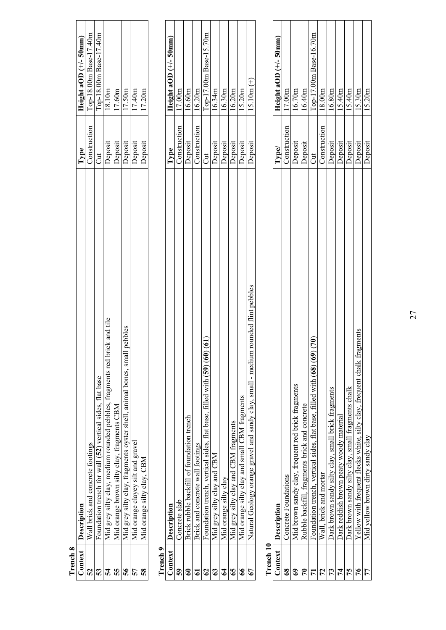| Trench 8       |                                                                                               |              |                          |
|----------------|-----------------------------------------------------------------------------------------------|--------------|--------------------------|
| Context        | Description                                                                                   | Type         | Height aOD $(+/- 50$ mm) |
| 52             | brick and concrete footings<br>$W$ all                                                        | Construction | Top-18.00m Base-17.40m   |
| 53             | Foundation trench for wall (52) vertical sides, flat base                                     | J            | Top-18.00m Base-17.40m   |
| 54             | ck and tile<br>Mid grey silty clay, medium rounded pebbles, fragments red bri                 | Deposit      | 18.10m                   |
| 55             | Mid orange brown silty clay, fragments CBM                                                    | Deposit      | 17.60m                   |
| 56             | <b>i</b> pebbles<br>Mid grey silty clay, fragments oyster shell, animal bones, small          | Deposit      | 17.50m                   |
| 57             | Mid orange clayey silt and gravel                                                             | Deposit      | 17.40m                   |
| 58             | Mid orange silty clay, CBM                                                                    | Deposit      | 17.20m                   |
| Trench 9       |                                                                                               |              |                          |
| Context        | Description                                                                                   | Type         | Height aOD $(+/-50$ mm   |
| 59             | Concrete slab                                                                                 | Construction | 17.00m                   |
| $\mathbf{e}$   | Brick rubble backfill of foundation trench                                                    | Deposit      | 16.60m                   |
| $\mathfrak{a}$ | Brick and concrete wall footings                                                              | Construction | 16.20m                   |
| 62             | $\mathbf{\widehat{g}}$<br>Foundation trench, vertical sides, flat base, filled with (59) (60) | J            | Top-17.00m Base-15.70m   |
| 63             | Mid grey silty clay and CBM                                                                   | Deposit      | 16.34m                   |
| $\mathbf{f}$   | Mid orange silty clay                                                                         | Deposit      | 16.30m                   |
| 65             | Mid grey silty clay and CBM fragments                                                         | Deposit      | 16.20m                   |
| $\frac{6}{6}$  | Mid orange silty clay and small CBM fragments                                                 | Deposit      | 15.20m                   |
| 67             | rounded flint pebbles<br>Natural Geology orange gravel and sandy clay, small - medium         | Deposit      | $15.10m (+)$             |
| Trench 10      |                                                                                               |              |                          |
| Context        | Description                                                                                   | ${\bf Type}$ | Height aOD $(+/- 50$ mm  |
| 68             | Concrete Foundations                                                                          | Construction | 17.00m                   |
| $69$           | Mid brown sandy clay, frequent red brick fragments                                            | Deposit      | $16.70\mathrm{m}$        |
| $\mathbb{R}$   | Rubble backfill, fragments brick and concrete                                                 | Deposit      | 16.40m                   |
| $\mathbf{r}$   | (70)<br>Foundation trench, vertical sides, flat base, filled with (68) (69)                   | J            | Top-17.00m Base-16.70m   |
| 72             | Wall, brick and mortar                                                                        | Construction | 18.00m                   |
| 73             | Dark brown sandy silty clay, small brick fragments                                            | Deposit      | 16.80m                   |
| 74             | Dark reddish brown peaty woody material                                                       | Deposit      | 15.40m                   |
| 75             | Dark brown sandy silty clay, small fragments chalk                                            | Deposit      | 15.40m                   |
| 76             | Yellow with frequent flecks white, silty clay, frequent chalk fragments                       | Deposit      | 15.30 <sub>m</sub>       |
| 77             | Mid yellow brown dirty sandy clay                                                             | Deposit      | 15.20m                   |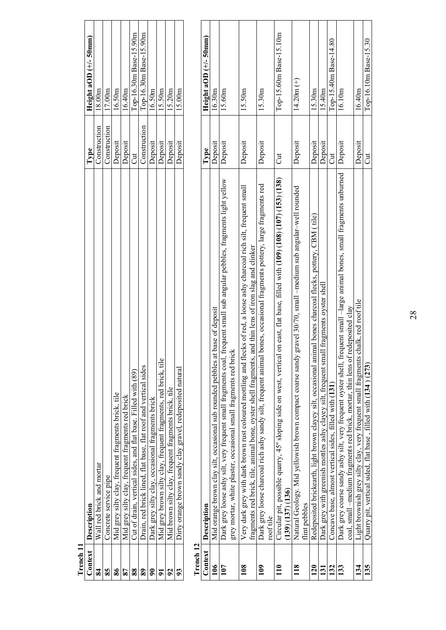| Trench 11         |                                                                                                                                                                                                                                    |                |                          |
|-------------------|------------------------------------------------------------------------------------------------------------------------------------------------------------------------------------------------------------------------------------|----------------|--------------------------|
| Context           | Description                                                                                                                                                                                                                        | Type           | Height aOD $(+/-50$ mm)  |
| 84                | Wall red brick and mortar                                                                                                                                                                                                          | Construction   | 18.00m                   |
| 85                | Concrete service pipe                                                                                                                                                                                                              | Construction   | 17.00m                   |
| 86                | Mid grey silty clay, frequent fragments brick, tile                                                                                                                                                                                | Deposit        | 16.50m                   |
| 87                | Mid grey silty clay, frequent fragments red brick                                                                                                                                                                                  | Deposit        | 16.40m                   |
| 88                | Cut of drain, vertical sides, and flat base. Filled with (89)                                                                                                                                                                      | đ              | Top-16.30m Base-15.90m   |
| $\boldsymbol{89}$ | Drain, red brick lined, flat base, flat roof and vertical sides                                                                                                                                                                    | Construction   | Top-16.30m Base-15.90m   |
| $\mathbf{5}$      | Dark grey silty clay, occasional fragments brick                                                                                                                                                                                   | Deposit        | 16.50m                   |
| $\overline{9}$    | Mid grey brown silty clay, frequent fragments, red brick, tile                                                                                                                                                                     | Deposit        | 15.50m                   |
| 92                | Mid brown silty clay, frequent fragments brick, tile                                                                                                                                                                               | Deposit        | 15.20m                   |
| 93                | Dirty orange brown sandy clay gravel, redeposited natural                                                                                                                                                                          | Deposit        | 15.00m                   |
| Trench 12         |                                                                                                                                                                                                                                    |                |                          |
| Context           | Description                                                                                                                                                                                                                        | Type           | Height aOD $(+/- 50$ mm) |
| 106               | base of deposit<br>Mid orange brown clay silt, occasional sub rounded pebbles at                                                                                                                                                   | Deposit        | 16.30m                   |
| 107               | frequent small sub angular pebbles, fragments light yellow<br>grey mortar, white plaster, occasional small fragments red brick<br>Dark grey loose ashy silt, very frequent small fragments coal,                                   | Deposit        | 15.60m                   |
| 108               | Very dark grey with dark brown rust coloured mottling and flecks of red, a loose ashy charcoal rich silt, frequent small<br>fragments red brick, tile, animal bone, oyster shell fragments, and thin lens of iron slag and clinker | Deposit        | 15.50m                   |
| 109               | bones, occasional fragments pottery, large fragments red<br>Dark grey loose charcoal rich ashy sandy silt, frequent animal<br>roof tile                                                                                            | Deposit        | 15.30 <sub>m</sub>       |
| 110               | on east, flat base, filled with (109) (108) (107) (153) (138)<br>Circular pit, possible quarry, 45° sloping side on west, vertical<br>(139) (137) (136)                                                                            | $\overline{C}$ | Top-15.60m Base-15.10m   |
| 118               | gravel 30/70, small -medium sub angular-well rounded<br>Natural Geology. Mid yellowish brown compact coarse sandy<br>flint pebbles                                                                                                 | Deposit        | $14.20m (+)$             |
| 120               | Redeposited brickearth, light brown clayey silt, occasional animal bones charcoal flecks, pottery, CBM (tile)                                                                                                                      | Deposit        | 15.30m                   |
| 131               | Dark grey with greenish mottles ashy clayey silt, frequent small fragments oyster shel                                                                                                                                             | Deposit        | 15.40m                   |
| 132               | Concave base, almost vertical sides, filled with (131)                                                                                                                                                                             | J              | Top-15.40m Base-14.80    |
| 133               | Dark grey coarse sandy ashy silt, very frequent oyster shell, frequent small -large animal bones, small fragments unburned<br>coal, small -medium fragments red brick, mortar, thin lens of redeposited clay                       | Deposit        | 16.10m                   |
| 134               | chalk, red roof tile<br>Light brownish grey silty clay, very frequent small fragments                                                                                                                                              | Deposit        | 16.40m                   |
| 135               | Quarry pit, vertical sided, flat base, filled with (134) (273)                                                                                                                                                                     | J              | Top-16.10m Base-15.30    |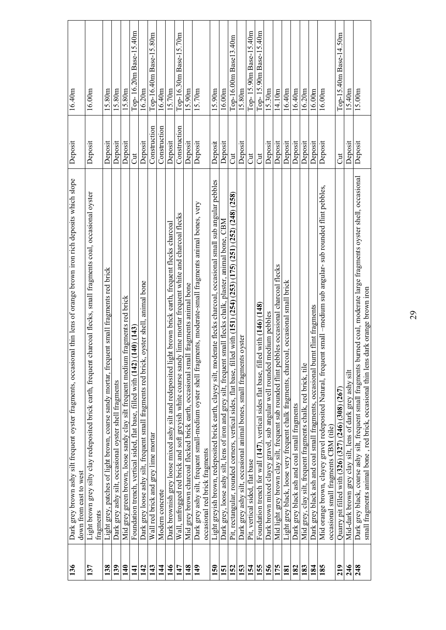| 136 | Dark grey brown ashy silt frequent oyster fragments, occasional thin lens of orange brown iron rich deposits which slope<br>down from east to west                                                                | Deposit      | 16.40m                 |
|-----|-------------------------------------------------------------------------------------------------------------------------------------------------------------------------------------------------------------------|--------------|------------------------|
| 137 | Light brown grey silty clay redeposited brick earth, frequent charcoal flecks, small fragments coal, occasional oyster<br>fragments                                                                               | Deposit      | $16.00\mathrm{m}$      |
| 138 | Light grey, patches of light brown, coarse sandy mortar, frequent small fragments red brick                                                                                                                       | Deposit      | 15.80m                 |
| 139 | Dark grey ashy silt, occasional oyster shell fragments                                                                                                                                                            | Deposit      | 15.80m                 |
| 140 | fragments red brick<br>Mid grey green brown, loose sandy clay silt frequent medium                                                                                                                                | Deposit      | 15.80m                 |
| 141 | 140(143)<br>Foundation trench, vertical sided, flat base, filled with (142)                                                                                                                                       | J            | Top-16.20m Base-15.40m |
| 142 | oyster shell, animal bone<br>Dark grey loose ashy silt, frequent small fragments red brick,                                                                                                                       | Deposit      | 16.20m                 |
| 143 | Wall red brick and grey lime mortar                                                                                                                                                                               | Construction | Top-16.40m Base-15.80m |
| 144 | Modern concrete                                                                                                                                                                                                   | Construction | 16.40m                 |
| 146 | ht brown brick earth, frequent flecks charcoal<br>Dark brownish grey loose mixed ashy silt and redeposited lig-                                                                                                   | Deposit      | 15.70m                 |
| 147 | Wall, unfrogged red brick and soft greyish white coarse sandy lime mortar frequent white and charcoal flecks                                                                                                      | Construction | Top-16.30m Base-15.70m |
| 148 | Mid grey brown charcoal flecked brick earth, occasional small fragments animal bone                                                                                                                               | Deposit      | 15.90 <sub>m</sub>     |
| 149 | nents, moderate-small fragments animal bones, very<br>Dark grey ashy silt, frequent small-medium oyster shell fragm                                                                                               | Deposit      | 15.70 <sub>m</sub>     |
|     | occasional red brick fragments                                                                                                                                                                                    |              |                        |
| 150 | Light greyish brown, redeposited brick earth, clayey silt, moderate flecks charcoal, occasional small sub angular pebbles                                                                                         | Deposit      | 15.90m                 |
| 151 | small flecks chalk, plaster, animal bone, CBM<br>Dark grey, loose ashy silt, lens of iron and grey silt, frequent                                                                                                 | Deposit      | 16.00 <sub>m</sub>     |
| 152 | Pit, rectangular, rounded corners, vertical sides, flat base, filled with (151) (254) (253) (175) (251) (252) (248) (258)                                                                                         | Ju           | Top-16.00m Base13.40m  |
| 153 | Dark grey ashy silt, occasional animal bones, small fragments oyster                                                                                                                                              | Deposit      | 15.80m                 |
| 154 | Pit, vertical sided, flat base                                                                                                                                                                                    | Ju           | Top-15.90m Base-15.40m |
| 155 | Foundation trench for wall (147), vertical sides flat base, filled with (146) (148)                                                                                                                               | Ju           | Top-15.90m Base-15.40m |
| 156 | Dark brown mixed clayey gravel, sub angular well rounded medium pebbles                                                                                                                                           | Deposit      | 15.30m                 |
| 175 | Mid light grey brown clay silt, frequent sub rounded flint pebbles occasional charcoal flecks                                                                                                                     | Deposit      | 14.10m                 |
| 181 | Light grey black, loose very frequent chalk fragments, charcoal, occasional small brick                                                                                                                           | Deposit      | 16.40m                 |
| 182 | Dark grey black ash and coal small fragments                                                                                                                                                                      | Deposit      | 16.40m                 |
| 183 | Mid grey, clay silt, frequent fragments chalk, red brick, tile                                                                                                                                                    | Deposit      | 16.20m                 |
| 184 | Dark grey black ash and coal small fragments, occasional burnt flint fragments                                                                                                                                    | Deposit      | 16.00m                 |
| 185 | Mid orange brown, clayey gravel redeposited Natural, frequent small –medium sub angular- sub rounded flint pebbles,                                                                                               | Deposit      | 16.00 <sub>m</sub>     |
|     | occasional small fragments CBM (tile)                                                                                                                                                                             |              |                        |
| 219 | Quarry pit filled with (326) (327) (246) (308) (267)                                                                                                                                                              | J            | Top-15.40m Base-14.50m |
| 246 | Mid-dark brown grey clay silt, lens of dark grey ashy silt                                                                                                                                                        | Deposit      | 5.40 <sub>m</sub>      |
| 248 | Dark grey black, coarse ashy silt, frequent small fragments burned coal, moderate large fragments oyster shell, occasional<br>small fragments animal bone, red brick, occasional thin lens dark orange brown iron | Deposit      | 15.00m                 |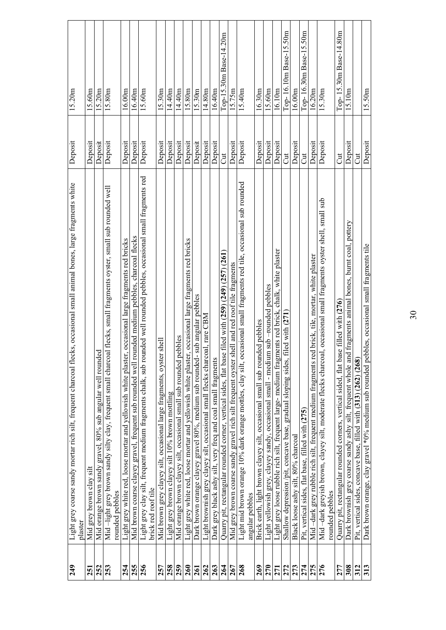| 249 | Light grey coarse sandy mortar rich silt, frequent charcoal flecks, occasional small animal bones, large fragments white<br>plaster            | Deposit | 15.20m                 |
|-----|------------------------------------------------------------------------------------------------------------------------------------------------|---------|------------------------|
| 251 | Mid grey brown clay silt                                                                                                                       | Deposit | 15.60m                 |
| 252 | Mid orange brown sandy gravel, 80% sub angular well rounded                                                                                    | Deposit | 15.20m                 |
| 253 | Mid-light grey brown sandy silty clay, frequent small charcoal flecks, small fragments oyster, small sub rounded well<br>rounded pebbles       | Deposit | 15.80m                 |
| 254 | Light grey white red, loose mortar and yellowish white plaster, occasional large fragments red bricks                                          | Deposit | 16.00m                 |
| 255 | Mid brown coarse clayey gravel, frequent sub rounded well rounded medium pebbles, charcoal flecks                                              | Deposit | 6.40m                  |
| 256 | Light grey clay silt, frequent medium fragments chalk, sub rounded well rounded pebbles, occasional small fragments red<br>brick red roof tile | Deposit | 15.60m                 |
| 257 | Mid brown grey clayey silt, occasional large fragments, oyster shell                                                                           | Deposit | 15.30m                 |
| 258 | Light grey brown clayey silt 10% brown mottling                                                                                                | Deposit | 14.40m                 |
| 259 | sub rounded pebbles<br>Mid orange brown clayey silt, occasional small                                                                          | Deposit | 4.40m                  |
| 260 | Light grey white red, loose mortar and yellowish white plaster, occasional large fragments red bricks                                          | Deposit | 15.80m                 |
| 261 | Dark brown orange clayey gravel 80%, medium sub rounded- sub angular pebbles                                                                   | Deposit | 15.30m                 |
| 262 | Light brownish grey clayey silt, occasional small flecks charcoal, rare CBM                                                                    | Deposit | 14.80m                 |
| 263 | Dark grey black ashy silt, very freq and coal small fragments                                                                                  | Deposit | 16.40m                 |
| 264 | Quarry pit, rectangular rounded comer, vertical sides, flat base filed with (259) (249) (257) (261)                                            | Jut     | Top-15.30m Base-14.20m |
| 267 | Mid grey brown coarse sandy gravel rich silt frequent oyster shell and red roof tile fragments                                                 | Deposit | 5.75m                  |
| 268 | Light mid brown orange 10% dark orange mottles, clay silt, occasional small fragments red tile, occasional sub rounded                         | Deposit | 15.40m                 |
|     | angular pebbles                                                                                                                                |         |                        |
| 269 | Brick earth, light brown clayey silt, occasional small sub rounded pebbles                                                                     | Deposit | 16.30m                 |
| 270 | Light yellowish grey, clayey sandy, occasional small - medium sub -rounded pebbles                                                             | Deposit | 15.60m                 |
| 271 | Light grey loose rubble rich silt, frequent large- medium fragments red brick, chalk, white plaster                                            | Deposit | 16.10m                 |
| 272 | filed with (271<br>Shallow depression /pit, concave base, gradual sloping sides,                                                               | Jut     | Top-16.10m Base-15.50m |
| 273 | Black loose ashy silt, 80% charcoal                                                                                                            | Deposit | 16.00m                 |
| 274 | Pit, vertical sides, flat base, filled with (275)                                                                                              | J       | Top-16.30m Base-15.50m |
| 275 | Mid-dark grey rubble rich silt, frequent medium fragments red brick, tile, mortar, white plaster                                               | Deposit | 16.20m                 |
| 276 | Mid-dark greyish brown, clayey silt, moderate flecks charcoal, occasional small fragments oyster shell, small sub                              | Deposit | 15.30 <sub>m</sub>     |
|     | rounded pebbles                                                                                                                                |         |                        |
| 277 | Quarry pit, rectangular rounded corners, vertical sided, flat base filled with (276)                                                           | Ju      | Top-15.30m Base-14.80m |
| 308 | Dark brownish grey coarse sandy ashy silt, frequent whole and fragments animal bones, burnt coal, pottery                                      | Deposit | 15.10m                 |
| 312 | Pit, vertical sides, concave base, filled with (313) (262) (268)                                                                               | J       |                        |
| 313 | Dark brown orange, clay gravel *0% medium sub rounded pebbles, occasional small fragments tile                                                 | Deposit | 15.50m                 |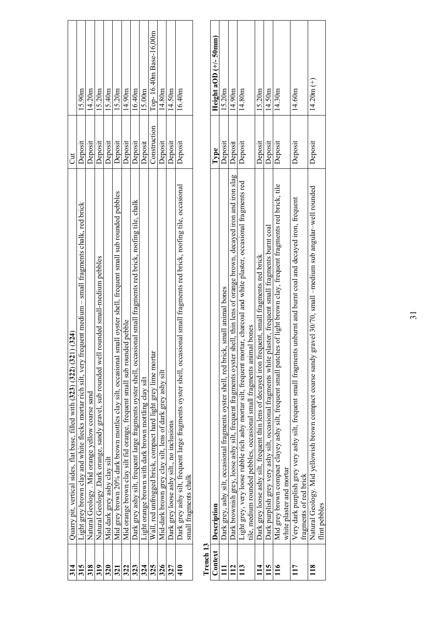| 314                  | (324)<br>Quarry pit, vertical sides, flat base, filled with (323) (322) (321                                                                                                                        | $\overline{c}$ |                         |
|----------------------|-----------------------------------------------------------------------------------------------------------------------------------------------------------------------------------------------------|----------------|-------------------------|
| 315                  | Light grey brown clay and white flecks mortar rich silt, very frequent medium – small fragments chalk, red brick                                                                                    | Deposit        | 15.90m                  |
| 318                  | Natural Geology . Mid orange yellow coarse sand                                                                                                                                                     | Deposit        | 14.20m                  |
| 319                  | rounded small-medium pebbles<br>Natural Geology .Dark orange, sandy gravel, sub rounded well                                                                                                        | Deposit        | 15.20m                  |
| 320                  | Mid dark grey ashy clay silt                                                                                                                                                                        | Deposit        | 15.40m                  |
| 321                  | small oyster shell, frequent small sub rounded pebbles<br>Mid grey brown 20% dark brown mottles clay silt, occasional                                                                               | Deposit        | 15.20m                  |
| 322                  | Mid orange brown clay silt fid orange, frequent small sub rounded pebble                                                                                                                            | Deposit        | 14.90m                  |
| 323                  | Dark grey ashy silt, frequent large fragments oyster shell, occasional small fragments red brick, roofing tile, chalk                                                                               | Deposit        | 16.40m                  |
| 324                  | Light orange brown with dark brown mottling clay silt                                                                                                                                               | Deposit        | 15.00m                  |
| 325                  | Wall, red unfrogged brick, compact hard light grey lime mortan                                                                                                                                      | Construction   | Top-16.40m Base-16,00m  |
| 326                  | Mid-dark brown grey clay silt, lens of dark grey ashy silt                                                                                                                                          | Deposit        | 14.80m                  |
| 327                  | Dark grey loose ashy silt., no inclusions                                                                                                                                                           | Deposit        | 14.50m                  |
| 410                  | Dark grey ashy silt, frequent large fragments oyster shell, occasional small fragments red brick, roofing tile, occasional<br>small fragments chalk                                                 | Deposit        | 16.40m                  |
| Trench <sub>13</sub> |                                                                                                                                                                                                     |                |                         |
| Context              | Description                                                                                                                                                                                         | Type           | Height aOD $(+/-50$ mm) |
| $\Xi$                | Dark grey, ashy silt, occasional fragments oyster shell, red brick, small animal bones                                                                                                              | Deposit        | 15.20m                  |
| 112                  | Dark brownish grey, loose ashy silt, frequent fragments oyster shell, thin lens of orange brown, decayed iron and iron slag                                                                         | Deposit        | 14.90m                  |
| 113                  | Light grey, very loose rubble rich ashy mortar silt, frequent mortar, charcoal and white plaster, occasional fragments red<br>tile, medium rounded pebbles, occasional small fragments animal bones | Deposit        | 14.80m                  |
| $\overline{11}$      | Dark grey loose ashy silt, frequent thin lens of decayed iron frequent, small fragments red brick                                                                                                   | Deposit        | 15.20m                  |
| 115                  | plaster, frequent small fragments burnt coal<br>Dark purplish grey very ashy silt, occasional fragments white                                                                                       | Deposit        | 14.50m                  |
| 116                  | es of light brown clay, frequent fragments red brick, tile<br>Mid grey brown compact clayey ashy silt, frequent small patch<br>white plaster and mortar                                             | Deposit        | 14.30m                  |
| 117                  | is unburnt and burnt coal and decayed iron, frequent<br>Very dark purplish grey very ashy silt, frequent small fragment<br>fragments of red brick                                                   | Deposit        | 14.60m                  |

flint pebbles

 $\frac{18}{118}$ 

**118** Natural Geology. Mid yellowish brown compact coarse sandy gravel 30/70, small –medium sub angular–well rounded

Natural Geology. Mid yellowish brown compact coarse sandy gravel 30/70, small -medium sub angular-well rounded<br>flint pebbles

Deposit  $14.20m (+)$ 

Deposit

 $14.20m (+)$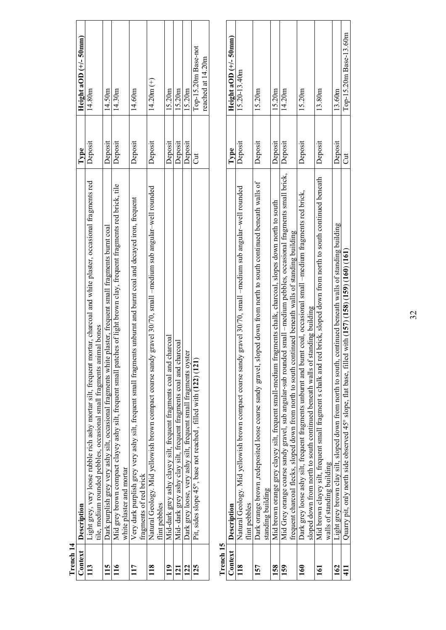| Context          | Description                                                                                                                                                                                                                     | Type    | Height aOD $(+/-50$ mm)                  |
|------------------|---------------------------------------------------------------------------------------------------------------------------------------------------------------------------------------------------------------------------------|---------|------------------------------------------|
| 113              | Light grey, very loose rubble rich ashy mortar silt, frequent mortar, charcoal and white plaster, occasional fragments red<br>tile, medium rounded pebbles, occasional small fragments animal bones                             | Deposit | 14.80m                                   |
| 115              | plaster, frequent small fragments burnt coal<br>Dark purplish grey very ashy silt, occasional fragments white                                                                                                                   | Deposit | 14.50m                                   |
| 116              | Mid grey brown compact clayey ashy silt, frequent small patches of light brown clay, frequent fragments red brick, tile<br>white plaster and mortar                                                                             | Deposit | 14.30m                                   |
| 117              | Very dark purplish grey very ashy silt, frequent small fragments unburnt and burnt coal and decayed iron, frequent<br>fragments of red brick                                                                                    | Deposit | 14.60m                                   |
| 118              | gravel 30/70, small -medium sub angular-well rounded<br>Natural Geology. Mid yellowish brown compact coarse sandy<br>flint pebbles                                                                                              | Deposit | $14.20m (+)$                             |
| 119              | Mid-dark grey ashy clayey silt, frequent fragments coal and charcoal                                                                                                                                                            | Deposit | 15.20m                                   |
| 121              | Mid- dark grey ashy clay silt, frequent fragments coal and charcoal                                                                                                                                                             | Deposit | 15.20m                                   |
| 122              | Dark grey loose, very ashy silt, frequent small fragments oyster                                                                                                                                                                | Deposit | 15.20m                                   |
| 125              | Pit, sides slope 45°, base not reached, filled with (122) (121)                                                                                                                                                                 | J       | Top-15.20m Base-not<br>reached at 14.20m |
| Trench 15        |                                                                                                                                                                                                                                 |         |                                          |
| Context          | Description                                                                                                                                                                                                                     | Type    | Height aOD $(+/- 50$ mm)                 |
| 118              | gravel 30/70, small -medium sub angular-well rounded<br>Natural Geology. Mid yellowish brown compact coarse sandy<br>flint pebbles                                                                                              | Deposit | 15.20-13.40m                             |
| 157              | Dark orange brown ,redeposited loose coarse sandy gravel, sloped down from north to south continued beneath walls of<br>standing building                                                                                       | Deposit | 15.20m                                   |
| 158              | Mid brown orange grey clayey silt, frequent small-medium fragments chalk, charcoal, slopes down north to south                                                                                                                  | Deposit | 15.20 <sub>m</sub>                       |
| 159              | Mid Grey orange coarse sandy gravel, sub angular-sub rounded small -medium pebbles, occasional fragments small brick,<br>frequent charcoal flecks, sloped down from north to south continued beneath walls of standing building | Deposit | 14.20m                                   |
| 160              | Dark grey loose ashy silt, frequent fragments unburnt and burnt coal, occasional small -medium fragments red brick,<br>sloped down from north to south continued beneath walls of standing building                             | Deposit | 15.20m                                   |
| $\overline{161}$ | Mid brown clayey silt, frequent small fragment s chalk and red brick, sloped down from north to south continued beneath<br>walls of standing building                                                                           | Deposit | 13.80m                                   |
| 162              | Light grey brown clay silt, sloped down from north to south, continued beneath walls of standing building                                                                                                                       | Deposit | 13.60m                                   |
| $\frac{11}{4}$   | Quarry pit, only north side observed 45° slope, flat base, filled with (157) (158) (159) (160) (161                                                                                                                             | Jut     | Top-15.20m Base-13.60m                   |

| enci |  |
|------|--|

| <b>CTAN TAN</b> |                                                                                                                            |         |                          |  |
|-----------------|----------------------------------------------------------------------------------------------------------------------------|---------|--------------------------|--|
|                 | Context Description                                                                                                        | Type    | Height aOD $(+/- 50$ mm) |  |
| $\frac{8}{1}$   | Natural Geology. Mid yellowish brown compact coarse sandy gravel 30/70, small -medium sub angular-well rounded             | Deposit | 15.20-13.40m             |  |
|                 | flint pebbles                                                                                                              |         |                          |  |
| 157             | Dark orange brown ,redeposited loose coarse sandy gravel, sloped down from north to south continued beneath walls of       | Deposit | 15.20m                   |  |
|                 | standing building                                                                                                          |         |                          |  |
| 158             | Mid brown orange grey clayey silt, frequent small-medium fragments chalk, charcoal, slopes down north to south             | Deposit | 15.20 <sub>m</sub>       |  |
| 159             | small –medium pebbles, occasional fragments small brick,<br>Mid Grey orange coarse sandy gravel, sub angular-sub rounded   | Deposit | 14.20m                   |  |
|                 | frequent charcoal flecks, sloped down from north to south continued beneath walls of standing building                     |         |                          |  |
| $\mathbf{50}$   | Dark grey loose ashy silt, frequent fragments unburnt and burnt coal, occasional small -medium fragments red brick,        | Deposit | 15.20m                   |  |
|                 | sloped down from north to south continued beneath walls of standing building                                               |         |                          |  |
| 5               | brick, sloped down from north to south continued beneath<br>Mid brown clayey silt, frequent small fragment s chalk and red | Deposit | 13.80m                   |  |
|                 | walls of standing building                                                                                                 |         |                          |  |
| 162             | Light grey brown clay silt, sloped down from north to south, continued beneath walls of standing building                  | Deposit | 13.60m                   |  |
| 411             | Quarry pit, only north side observed $45^{\circ}$ slope, flat base, filled with $(157)$ $(159)$ $(160)$ $(161)$            | J       | Top-15.20m Base-13.60m   |  |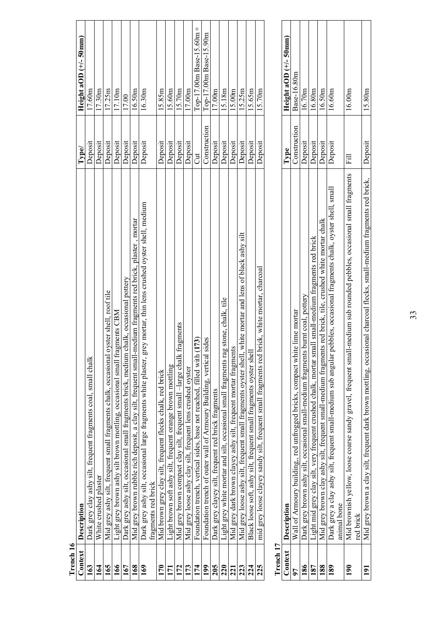| Trench 16 |                                                                                                                         |              |                          |
|-----------|-------------------------------------------------------------------------------------------------------------------------|--------------|--------------------------|
| Context   | Description                                                                                                             | Type/        | Height aOD $(+/- 50$ mm) |
| 163       | Dark grey clay ashy silt, frequent fragments coal, small chalk                                                          | Deposit      | 17.60m                   |
| 164       | White crushed plaster                                                                                                   | Deposit      | 17.30m                   |
| 165       | Mid grey ashy silt, frequent small fragments chalk, occasional oyster shell, roof tile                                  | Deposit      | 17.25m                   |
| 166       | agments CBM<br>Light grey brown ashy silt brown mottling, occasional small fra                                          | Deposit      | 17.10m                   |
| 167       | chalk, occasional pottery<br>Dark grey ashy silt, occasional small fragments brick, medium                              | Deposit      | 17.00                    |
| 168       | Mid grey brown rubble rich deposit, a clay silt, frequent small-medium fragments red brick, plaster, mortar             | Deposit      | 16.50m                   |
| 169       | rey mortar, thin lens crushed oyster shell, medium<br>Dark grey ashy silt, occasional large fragments white plaster, gr | Deposit      | 16.30m                   |
|           | fragments red brick                                                                                                     |              |                          |
| 170       | Mid brown grey clay silt, frequent flecks chalk, red brick                                                              | Deposit      | 15.85m                   |
| 171       | Light brown soft ashy silt, frequent orange brown mottling                                                              | Deposit      | 15.60m                   |
| 172       | fragments<br>Mid grey brown compact clay silt, frequent small -large chalk                                              | Deposit      | 15.70m                   |
| 173       | Mid grey loose ashy clay silt, frequent lens crushed oyster                                                             | Deposit      | 17.00m                   |
| 174       | (173)<br>Foundation trench, vertical sides, base not reached, filled with                                               | J            | Top-17.00m Base-15.60m + |
| 199       | Foundation trench of outer wall of Armoury Building, vertical sides                                                     | Construction | Top-17.00m Base-15.90m   |
| 205       | Dark grey clayey silt, frequent red brick fragments                                                                     | Deposit      | 17.00m                   |
| 220       | Light grey white mortar and silt, occasional small fragments rag stone, chalk, tile                                     | Deposit      | 15.18m                   |
| 221       | Mid grey dark brown clayey ashy silt, frequent mortar fragments                                                         | Deposit      | 15.00 <sub>m</sub>       |
| 223       | white mortar and lens of black ashy silt<br>Mid grey loose ashy silt, frequent small fragments oyster shell,            | Deposit      | 15.25m                   |
| 224       | Black loose soft, ashy silt, frequent small fragments oyster shel                                                       | Deposit      | 15.65m                   |
| 225       | brick, white mortar, charcoal<br>mid grey loose clayey sandy silt, frequent small fragments red                         | Deposit      | 15.70m                   |
|           |                                                                                                                         |              |                          |
| Trench 17 |                                                                                                                         |              |                          |
|           |                                                                                                                         |              |                          |

| $11$ reflicin $11$ |                                                                                                                         |              |                          |  |
|--------------------|-------------------------------------------------------------------------------------------------------------------------|--------------|--------------------------|--|
|                    | Context Description                                                                                                     | Type         | Height aOD $(+/- 50$ mm) |  |
|                    | Wall of Armoury building,, red unfrogged bricks, compact white lime mortar                                              | Construction | Base-16.80m              |  |
|                    | Dark grey brown ashy silt, occasional small-medium fragments burnt coal, pottery                                        | Deposit      | 16.70m                   |  |
|                    | Light mid grey clay silt, very frequent crushed chalk, mortar small small-medium fragments red brick                    | Deposit      | 16.80m                   |  |
|                    | Mid grey brown clay ashy silt, frequent small-medium fragments red brick, tile, crushed white mortar chalk              | Jeposit      | 16.50m                   |  |
| 189                | Dark grey a clay ashy silt, frequent small-medium sub angular pebbles, occasional fragments chalk, oyster shell, small  | Deposit      | 16.60m                   |  |
|                    | animal bone                                                                                                             |              |                          |  |
| ⋚                  | Mid brownish yellow, loose coarse sandy gravel, frequent small-medium sub rounded pebbles, occasional small fragments   | Fill         | 16.00m                   |  |
|                    | red brick                                                                                                               |              |                          |  |
|                    | Mid grey brown a clay silt, frequent dark brown mottling, occasional charcoal flecks, small-medium fragments red brick, | Deposit      | 15.80m                   |  |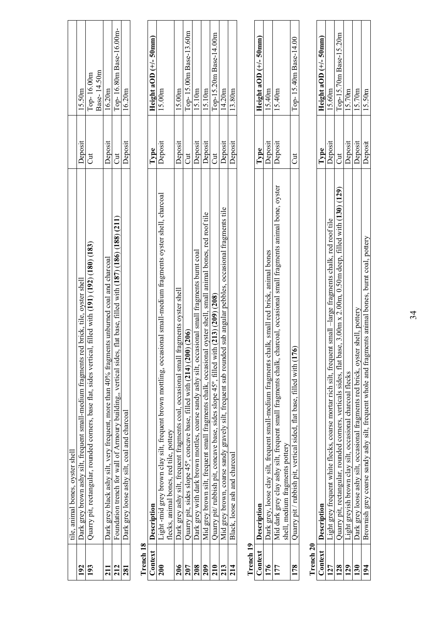|                 | tile, animal bones, oyster shell                                                                                   |         |                           |
|-----------------|--------------------------------------------------------------------------------------------------------------------|---------|---------------------------|
| 192             | Dark grey brown ashy silt, frequent small-medium fragments red brick, tile, oyster shell                           | Deposit | 15.50m                    |
| 193             | 1, filled with (191) (192) (180) (183)<br>Quarry pit, rectangular, rounded corners, base flat, sides vertical      | J       | Base-14.50m<br>Top-16.00m |
| 211             | Dark grey black ashy silt, very frequent, more than 40% fragments unburned coal and charcoal                       | Deposit | 16.20m                    |
| 212             | flat base, filled with (187) (186) (188) (211)<br>Foundation trench for wall of Armoury building,, vertical sides, | J       | Top-16.80m Base-16.00m-   |
| 281             | Dark grey loose ashy silt, coal and charcoal                                                                       | Deposit | 16.20m                    |
| Trench 18       |                                                                                                                    |         |                           |
| Context         | Description                                                                                                        | Type    | Height aOD $(+/- 50$ mm)  |
| $\frac{200}{2}$ | Light -mid grey brown clay silt, frequent brown mottling, occasional small-medium fragments oyster shell, charcoal | Deposit | 15.00m                    |
|                 | flecks, animal bones, red tile, pottery                                                                            |         |                           |
| 206             | Dark grey ashy silt, frequent fragments coal, occasional small fragments oyster shell                              | Deposit | 15.00m                    |
| 207             | Quarry pit, sides slope 45°, concave base, filled with (214) (200) (206)                                           | J       | Top-15.00m Base-13.60m    |
| 208             | Dark grey with dark brown mottles, coarse sandy ashy silt, occasional small fragments burnt coal                   | Deposit | 15.10m                    |
| 209             | oyster shell, small animal bones, red roof tile<br>Mid grey brown silt, frequent small fragments chalk, occasional | Deposit | 15.10m                    |
| 210             | Quarry pit/ rubbish pit, concave base, sides slope $45^\circ$ , filled with $(213)(209)$ $(208)$                   | J       | Top-15.20m Base-14.00m    |
| 213             | Mid grey brown, coarse sandy gravely silt, frequent sub rounded sub angular pebbles, occasional fragments tile     | Deposit | 14.20m                    |
| 214             | Black, loose ash and charcoal                                                                                      | Deposit | 13.80m                    |
| Trench 19       |                                                                                                                    |         |                           |
|                 |                                                                                                                    |         |                           |

| ▀ |
|---|
| r |
|   |
|   |
|   |
|   |
|   |

|     | Context Description                                                                                                    |                | Height aOD $(+/- 50$ mm) |
|-----|------------------------------------------------------------------------------------------------------------------------|----------------|--------------------------|
|     | alk, small red brick, animal bones<br>Dark grey, loose clay silt, frequent small-medium fragments cha                  | Peposit        | 5.40 <sub>m</sub>        |
| דְ  | Mid dark grey clay ashy silt, frequent small fragments chalk, charcoal, occasional small fragments animal bone, oyster | <b>Deposit</b> | 5.40 <sub>m</sub>        |
|     | shell, medium fragments pottery                                                                                        |                |                          |
| 178 | Quarry pit / rubbish pit, vertical sided, flat base, filled with (176                                                  |                | Top-15.40m Base-14.00    |

| ٦  |  |
|----|--|
|    |  |
|    |  |
|    |  |
| J. |  |
|    |  |
|    |  |

| $Context \t $ Description                                                                                                                  |                | Height aOD $(+/- 50$ mm) |
|--------------------------------------------------------------------------------------------------------------------------------------------|----------------|--------------------------|
| small-large fragments chalk, red roof tile<br>light grey frequent white flecks, coarse mortar rich silt, frequent                          | deposit        | 5.60m                    |
| , $3.00$ m x $2.00$ m, $0.50$ m deep, filled with $(130)$ $(129)$<br>puarry pit, rectangular, rounded corners, verticals sides, flat base, |                | Top-15.70m Base-15.20m   |
| light greyish brown clay silt, occasional charcoal flecks                                                                                  | <b>Peposit</b> | 5.70 <sub>m</sub>        |
| shell, pottery<br>Dark grey loose ashy silt, occasional fragments red brick, oyster                                                        | Deposit        | 5.70 <sub>m</sub>        |
| ents animal bones, burnt coal, pottery<br>Brownish grey coarse sandy ashy silt, frequent whole and fragme                                  | <b>Deposit</b> | 5.50 <sub>m</sub>        |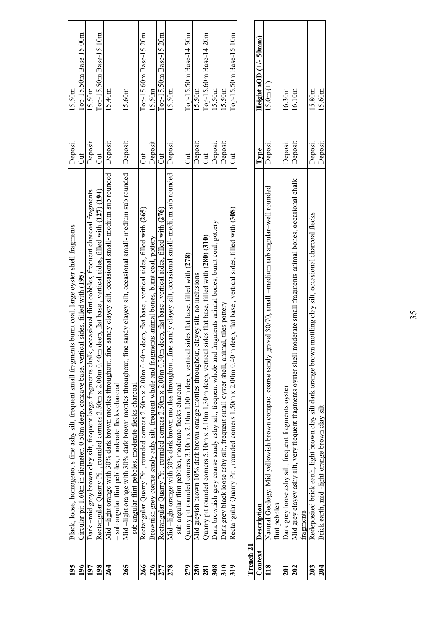| 195                  | Black, loose, homogenous fine ashy silt, frequent small fragments burnt coal, large oyster shell fragments                                                                        | Deposit        | 15.50m                  |
|----------------------|-----------------------------------------------------------------------------------------------------------------------------------------------------------------------------------|----------------|-------------------------|
| 196                  | Circular pit 1.60m in diameter, 0.50m deep, concave base, vertical sides, filled with (195)                                                                                       | $\overline{c}$ | Top-15.50m Base-15.00m  |
| 197                  | Dark -mid grey brown clay silt, frequent large fragments chalk, occasional flint cobbles, frequent charcoal fragments                                                             | Deposit        | 15.50m                  |
| 198                  | Rectangular Quarry Pit, rounded corners 2.50m x 2.00m 0.40m deep, flat base, vertical sides, filled with (127) (194)                                                              | J              | Top-15.50m Base-15.10m  |
| 264                  | fine sandy clayey silt, occasional small- medium sub rounded<br>Mid-light orange with 30% dark brown mottles throughout, f<br>sub angular flint pebbles, moderate flecks charcoal | Deposit        | 15.40m                  |
| 265                  | Mid-light orange with 30% dark brown mottles throughout, fine sandy clayey silt, occasional small- medium sub rounded<br>sub angular flint pebbles, moderate flecks charcoal      | Deposit        | 15.60m                  |
| 266                  | Rectangular Quarry Pit, rounded corners 2.50m x 2.00m 0.40m deep, flat base, vertical sides, filled with (265)                                                                    | J              | Top-15.60m Base-15.20m  |
| 276                  | Brownish grey coarse sandy ashy silt, frequent whole and fragments animal bones, burnt coal, pottery                                                                              | Deposit        | 15.50m                  |
| 277                  | Rectangular Quarry Pit , rounded corners 2.50m x 2.00m 0.30m deep, flat base , vertical sides, filled with (276)                                                                  | Cut            | Top-15.50m Base-15.20m  |
| 278                  | Mid-light orange with 30% dark brown mottles throughout, fine sandy clayey silt, occasional small- medium sub rounded<br>sub angular flint pebbles, moderate flecks charcoal      | Deposit        | 15.50m                  |
| 279                  | Quarry pit rounded corners $3.10$ m x $2.10$ m 1.00m deep, vertical sides flat base, filled with (278)                                                                            | J              | Top-15.50m Base-14.50m  |
| 280                  | Mid greyish brown 10% dark brown orange mottles throughout, clayey silt, no inclusions                                                                                            | Deposit        | 15.50m                  |
| 281                  | Quarry pit rounded corners 5.10m x 3.10m 1,30m deep, vertical sides flat base, filled with $(280)$ (310)                                                                          | J              | Top-15.60m Base-14.20m  |
| 308                  | Dark brownish grey coarse sandy ashy silt, frequent whole and fragments animal bones, burnt coal, pottery                                                                         | Deposit        | 15.50m                  |
| 310                  | Dark grey black loose ashy silt, frequent small oyster shell, animal, tiles pottery                                                                                               | Deposit        | 15.50m                  |
| 319                  | Rectangular Quarry Pit, rounded corners 1.50m x 2.00m 0.40m deep, flat base, vertical sides, filled with (308)                                                                    | J              | Top-15.50m Base-15.10m  |
| Trench <sub>21</sub> |                                                                                                                                                                                   |                |                         |
|                      |                                                                                                                                                                                   |                |                         |
| Context              | Description                                                                                                                                                                       | Type           | Height aOD $(+/-50$ mm) |
| 118                  | gravel 30/70, small -medium sub angular-well rounded<br>Natural Geology. Mid yellowish brown compact coarse sandy<br>flint pebbles                                                | Deposit        | $15.0m (+)$             |
| 201                  | Dark grey loose ashy silt, frequent fragments oyster                                                                                                                              | Deposit        | 16.30m                  |
| 202                  | Mid grey clayey ashy silt, very frequent fragments oyster shell moderate small fragments animal bones, occasional chalk<br>fragments                                              | Deposit        | 16.10m                  |
| 203                  | Redeposited brick earth, light brown clay silt dark orange brown mottling clay silt, occasional charcoal flecks                                                                   | Deposit        | 15.80m                  |
| 204                  | Brick earth, mid-light orange brown clay silt                                                                                                                                     | Deposit        | 15.60m                  |

| - |
|---|
| ٦ |
|   |

|             | Context Description                                                                                                                  | Type           | Height aOD $(+/- 50$ mm) |
|-------------|--------------------------------------------------------------------------------------------------------------------------------------|----------------|--------------------------|
|             | gravel 30/70, small -medium sub angular-well rounded<br>Natural Geology. Mid yellowish brown compact coarse sandy                    | Deposit        | $15.0m (+)$              |
|             | lint pebbles                                                                                                                         |                |                          |
|             | Dark grey loose ashy silt, frequent fragments oyster                                                                                 | Deposit        | 16.30m                   |
|             | moderate small fragments animal bones, occasional chalk   Deposit<br>Mid grey clayey ashy silt, very frequent fragments oyster shell |                | 16.10m                   |
|             | ragments                                                                                                                             |                |                          |
|             | Redeposited brick earth, light brown clay silt dark orange brown mottling clay silt, occasional charcoal flecks                      | Deposit        | 15.80m                   |
| $\tilde{e}$ | Brick earth, mid-light orange brown clay silt                                                                                        | <b>Deposit</b> | 15.60m                   |
|             |                                                                                                                                      |                |                          |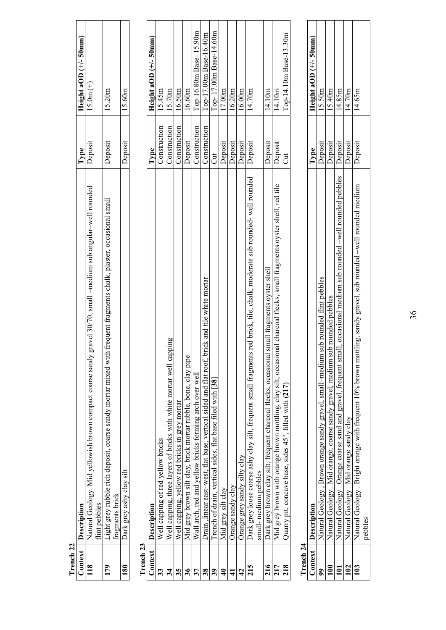| 179           | frequent fragments chalk, plaster, occasional smal<br>Light grey rubble rich deposit, coarse sandy mortar mixed with<br>fragments brick | Deposit      | 15.20 <sub>m</sub>      |
|---------------|-----------------------------------------------------------------------------------------------------------------------------------------|--------------|-------------------------|
| 180           | Dark grey ashy clay silt                                                                                                                | Deposit      | 15.60m                  |
| Trench 23     |                                                                                                                                         |              |                         |
| Context       | Description                                                                                                                             | Type         | Height aOD $(+/-50$ mm) |
| 33            | Well capping of red yellow bricks                                                                                                       | Construction | 15.45m                  |
| 34            | Well capping, three layers of bricks with white mortar well capping                                                                     | Construction | 15.70m                  |
| 35            | Well capping, yellow red bricks in grey mortar                                                                                          | Construction | 16.50m                  |
| 36            | Mid grey brown silt clay, brick mortar rubble, bone, clay pipe                                                                          | Deposit      | 16.60m                  |
| 37            | Wall arch, red and yellow bricks forming arch over well                                                                                 | Construction | Top-16.80m Base-15.90m  |
| 38            | Drain, linear east-west, flat base, vertical sided and flat roof, brick and tile white mortar                                           | Construction | Top-17.00m Base-16.40m  |
| 39            | Trench of drain, vertical sides, flat base filed with [38]                                                                              | Jut          | Top-17.00m Base-14.60m  |
| $\frac{1}{4}$ | Mid grey silt clay                                                                                                                      | Deposit      | 17.00m                  |
| $\mathbf{1}$  | Orange sandy clay                                                                                                                       | Deposit      | 16.20m                  |
| $\frac{1}{4}$ | Orange grey sandy silty clay                                                                                                            | Deposit      | 16.00m                  |
| 215           | red brick, tile, chalk, moderate sub rounded- well rounded<br>Dark grey loose coarse ashy clay silt, frequent small fragments           | Deposit      | 14.70m                  |
|               | small-medium pebbles                                                                                                                    |              |                         |
| 216           | small fragments oyster shell<br>Dark grey brown clay silt, frequent charcoal flecks, occasional                                         | Deposit      | 14.10m                  |
| 217           | Mid grey brown with orange brown mottling, clay silt, occasional charcoal flecks, small fragments oyster shell, red tile                | Deposit      | 14.10m                  |
| 218           | Quarry pit, concave base, sides 45°, filled with (217)                                                                                  | J            | Top-14.10m Base-13.30m  |
| Trench 24     |                                                                                                                                         |              |                         |

**Trench 22** 

Trench<sub>22</sub> Context  $\frac{18}{118}$  flint pebbles

**Context Description Type Height aOD (+/- 50mm)** 

Deposit  $|$  15.0m  $(+)$ 

 $\frac{1}{\text{Type}}$ 

 $\frac{\text{Height aOD (+/- 50mm)}}{15.0 \text{m (+)}}$ 

**118** Natural Geology. Mid yellowish brown compact coarse sandy gravel 30/70, small –medium sub angular–well rounded

**Description**<br>Natural Geology. Mid yellowish brown compact coarse sandy gravel 30/70, small -medium sub angular-well rounded<br>flint pebbles

| Context Description                                                                                                            | <b>Lype</b>    | Height aOD $(+/- 50$ mm) |
|--------------------------------------------------------------------------------------------------------------------------------|----------------|--------------------------|
| Natural Geology , Brown orange sandy gravel, small–medium sub rounded flint pebbles                                            | <b>Deposit</b> | 15.50m                   |
| Natural Geology . Mid orange, coarse sandy gravel, medium sub rounded pebbles                                                  | Deposit        | 5.40m                    |
| Natural Geology . Orange coarse sand and gravel, frequent small, occasional medium sub rounded -well rounded pebbles   Deposit |                | 4.85m                    |
| Natural Geology . Mid orange sandy clay                                                                                        | <b>Jeposit</b> | 14.70m                   |
| Vatural Geology . Bright orange with frequent 10% brown mottling, sandy gravel, sub rounded -well rounded medium               | Deposit        | 14.65m                   |
| pebbles                                                                                                                        |                |                          |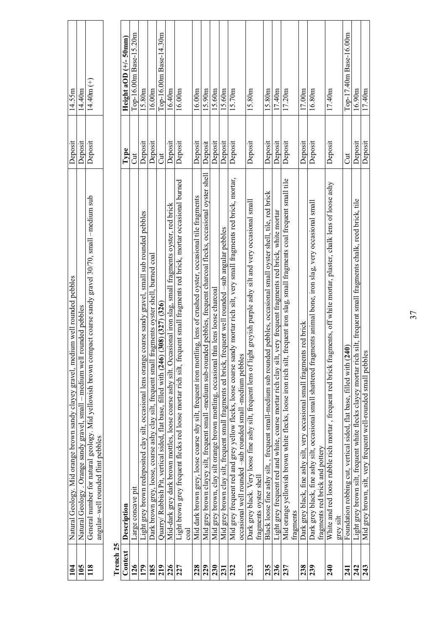| 104                  | Natural Geology. Mid orange brown sandy clayey gravel, medium well rounded pebbles                                                                                                       | Deposit | 14.55m                   |
|----------------------|------------------------------------------------------------------------------------------------------------------------------------------------------------------------------------------|---------|--------------------------|
| 105                  | rounded pebbles<br>Natural Geology . Orange sandy gravel, small - medium well                                                                                                            | Deposit | 14.40m                   |
| 118                  | General number for natural geology. Mid yellowish brown compact coarse sandy gravel 30/70, small -medium sub<br>angular-well rounded flint pebbles                                       | Deposit | $14.40m (+)$             |
| Trench <sub>25</sub> |                                                                                                                                                                                          |         |                          |
| Context              | Description                                                                                                                                                                              | Type    | Height aOD $(+/- 50$ mm) |
| 126                  | Large concave pit                                                                                                                                                                        | J       | Top-16.00m Base-15.20m   |
| 179                  | coarse sandy gravel, small sub rounded pebbles<br>Light grey brown redeposited clay silt, occasional lens orange                                                                         | Deposit | 15.80m                   |
| 185                  | ragments oyster shell, burned coal<br>Dark brown grey, loose, coarse ashy clay silt, frequent small f.                                                                                   | Deposit | 16.00 <sub>m</sub>       |
| 219                  | $(308)$ $(327)$ $(326)$<br>Quarry/ Rubbish Pit, vertical sided, flat base, filled with (246)                                                                                             | J       | Top-16.00m Base-14.30m   |
| 226                  | Mid-dark grey dark brown mottles, loose coarse ashy silt. Occasional iron slag, small fragments oyster, red brick                                                                        | Deposit | 16.40m                   |
| 227                  | Light brown grey frequent flecks red loose mortar rich silt, frequent small fragments red brick, mortar occasional burned<br>$_{\rm coal}$                                               | Deposit | 16.00 <sub>m</sub>       |
| 228                  | Mid dark brown grey, loose coarse shy silt, frequent iron mottling, lens of crushed oyster, occasional tile fragments                                                                    | Deposit | 16.00m                   |
| 229                  | Mid grey brown clayey silt, frequent small -medium sub-rounded pebbles, frequent charcoal flecks, occasional oyster shell                                                                | Deposit | 15.90 <sub>m</sub>       |
| 230                  | Mid grey brown, clay silt orange brown mottling, occasional thin lens loose charcoal                                                                                                     | Deposit | 15.60 <sub>m</sub>       |
| 231                  | Mid grey brown clay silt, frequent small fragments ed brick, frequent well rounded -sub angular pebbles                                                                                  | Deposit | 5.60 <sub>nn</sub>       |
| 232                  | Mid grey frequent red and grey yellow flecks, loose coarse sandy mortar rich silt, very small fragments red brick, mortar,<br>occasional well rounded -sub rounded small -medium pebbles | Deposit | 15.70m                   |
| 233                  | Dark grey black. Very loose fine ashy silt, frequent lens of light greyish purple ashy silt and very occasional small<br>fragments oyster shell                                          | Deposit | 15.80m                   |
| 235                  | Black loose fine ashy silt, , frequent small-medium sub rounded pebbles, occasional small oyster shell, tile, red brick                                                                  | Deposit | 15.80m                   |
| 236                  | very frequent fragments red brick, white mortar<br>Light grey frequent red and white, coarse mortar rich clay silt,                                                                      | Deposit | 17.40m                   |
| 237                  | frequent iron slag, small fragments coal frequent small tile<br>Mid orange yellowish brown white flecks, loose iron rich silt,<br>fragments                                              | Deposit | 17.20m                   |
| 238                  | Dark grey black, fine ashy silt, very occasional small fragments red brick                                                                                                               | Deposit | 17.00m                   |
| 239                  | Dark grey black, fine ashy silt, occasional small shattered fragments animal bone, iron slag, very occasional small<br>fragments red brick and pottery                                   | Deposit | $16.80\mathrm{m}$        |
| $\frac{240}{5}$      | White and red loose rubble rich mortar, frequent red brick fragments, off white mortar, plaster, chalk lens of loose ashy<br>grey silt                                                   | Deposit | 17.40m                   |
| 241                  | Foundation robbing cut, vertical sided, flat base, filled with (240)                                                                                                                     | J       | Top-17.40m Base-16.00m   |
| 242                  | silt, frequent small fragments chalk, reed brick, tile<br>Light grey brown silt, frequent white flecks clayey mortar rich                                                                | Deposit | 16.90m                   |
| 243                  | Mid grey brown, silt, very frequent well-rounded small pebbles                                                                                                                           | Deposit | 17.40m                   |

37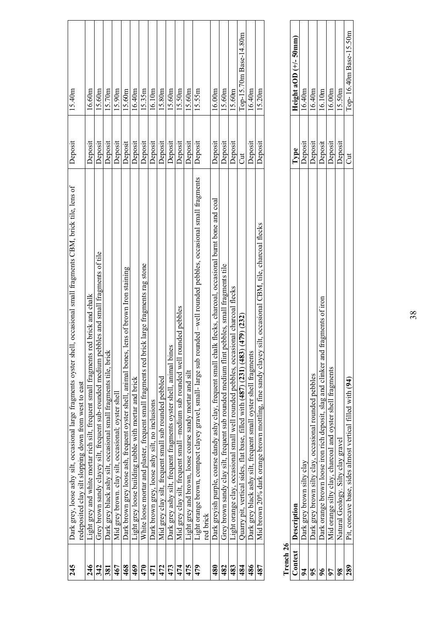| 245 | Dark grey, loose ashy silt, occasional large fragments oyster shell, occasional small fragments CBM, brick tile, lens of          | Deposit | 15.40m                 |
|-----|-----------------------------------------------------------------------------------------------------------------------------------|---------|------------------------|
|     | redeposited clay silt slopping down from west to east                                                                             |         |                        |
| 246 | Light grey and white mortar rich silt, frequent small fragments red brick and chalk                                               | Deposit | 16.60m                 |
| 342 | Grey brown sandy clayey silt, frequent sub-rounded medium pebbles and small fragments of tile                                     | Deposit | 15.60m                 |
| 381 | Dark grey black ashy silt, occasional small fragments tile, bricl                                                                 | Deposit | 15.70 <sub>m</sub>     |
| 467 | Mid grey brown. clay silt, occasional; oyster shel                                                                                | Deposit | 15.90 <sub>m</sub>     |
| 468 | Dark brown grey loose ash, frequent oyster shell, animal bones, lens of brown Iron staining                                       | Deposit | 15.60m                 |
| 469 | Light grey loose building rubble with mortar and brick                                                                            | Deposit | 16.40m                 |
| 470 | White loose mortar and plaster, frequent small fragments red brick large fragments rag stone                                      | Deposit | 15.35m                 |
| 471 | Dark brown grey, loose ashy silt, no inclusions                                                                                   | Deposit | 16.10m                 |
| 472 | Mid grey clay silt, frequent small sub rounded pebbled                                                                            | Deposit | 15.80m                 |
| 473 | Dark grey ashy silt, frequent fragments oyster shell, animal bines                                                                | Deposit | 15.60m                 |
| 474 | Mid grey clay silt, frequent small –medium sub rounded well rounded pebbles                                                       | Deposit | 15.50m                 |
| 475 | Light grey and brown, loose coarse sandy mortar and silt                                                                          | Deposit | 15.60m                 |
| 479 | Light orange brown, compact clayey gravel, small-large sub rounded -well rounded pebbles, occasional small fragments<br>red brick | Deposit | 15.55m                 |
| 480 | Dark grevish purple, coarse dandy ashy clay, frequent small chalk flecks, charcoal, occasional burnt bone and coal                | Deposit | 16.00m                 |
| 482 | pebbles, small fragments tile<br>Grey brown sandy clay silt, frequent sub rounded medium flint                                    | Deposit | 15.60m                 |
| 483 | usional charcoal flecks<br>Light orange clay, occasional small well rounded pebbles, occa                                         | Deposit | 15.60m                 |
| 484 | Quarry pit, vertical sides, flat base, filled with (487) (231) (483) (479) (232)                                                  | Jut     | Top-15.70m Base-14.80m |
| 486 | Dark grey black ashy silt, frequent small oyster shell fragments                                                                  | Deposit | 16.40m                 |
| 487 | Mid brown 20% dark orange brown mottling, fine sandy clayey silt, occasional CBM, tile, charcoal flecks                           | Deposit | 15.20m                 |
|     |                                                                                                                                   |         |                        |

| LLENCIA 20 |                                                                                      |         |                        |
|------------|--------------------------------------------------------------------------------------|---------|------------------------|
|            | Context Description                                                                  | l'ype   | Height $aOD (+/-50mm)$ |
|            | Dark grey brown silty clay                                                           | Deposit | 16.40m                 |
|            | Dark grey brown silty clay, occasional rounded pebbles                               | Deposit | 16.40m                 |
|            | fragments of iron<br>Dark orange brown loose iron rich deposit, slag and clinker and | Deposit | 16.10m                 |
|            | Mid orange silty clay, charcoal and oyster shell fragments                           | Deposit | 16.00m                 |
|            | Natural Geology. Silty clay gravel                                                   | Deposit | 15.50m                 |
| 289        | Pit, concave base, sides almost vertical filled with (94)                            | d<br>J  | Top-16.40m Base-15.50m |
|            |                                                                                      |         |                        |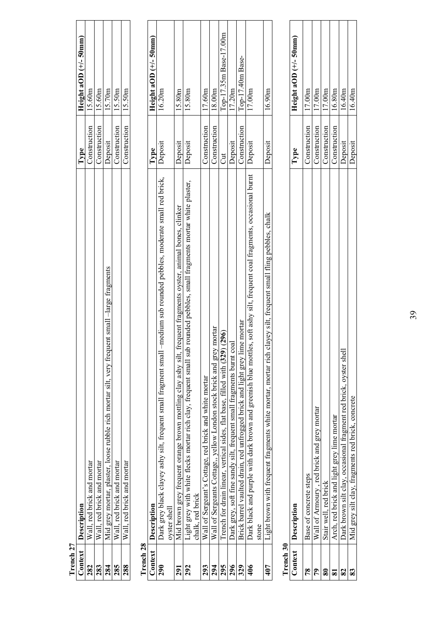| Context                 | Description                                                                                                                                       | Type         | Height aOD $(+/-50$ mm) |
|-------------------------|---------------------------------------------------------------------------------------------------------------------------------------------------|--------------|-------------------------|
| 282                     | , red brick and mortar<br>$\mathbb{W}$ all                                                                                                        | Construction | 15.60m                  |
| 283                     | Wall, red brick and mortar                                                                                                                        | Construction | 15.60m                  |
| 284                     | Mid grey mortar, plaster, loose rubble rich mortar silt, very frequent small -large fragments                                                     | Deposit      | 15.70 <sub>m</sub>      |
| 285                     | Wall, red brick and mortar                                                                                                                        | Construction | 15.50m                  |
| 288                     | Wall, red brick and mortar                                                                                                                        | Construction | 15.50m                  |
| Trench <sub>28</sub>    |                                                                                                                                                   |              |                         |
| Context                 | Description                                                                                                                                       | Type         | Height aOD $(+/-50$ mm) |
| 290                     | -medium sub rounded pebbles, moderate small red brick,<br>Dark grey black clayey ashy silt, frequent small fragment small<br>oyster shell         | Deposit      | 16.20m                  |
| 291                     | frequent fragments oyster, animal bones, clinker<br>Mid brown grey frequent orange brown mottling clay ashy silt,                                 | Deposit      | 15.80m                  |
| 292                     | b rounded pebbles, small fragments mortar white plaster,<br>Light grey with white flecks mortar rich clay, frequent small sul<br>chalk, red brick | Deposit      | 15.80m                  |
| 293                     | Wall of Sergeant's Cottage, red brick and white mortar                                                                                            | Construction | 17.60m                  |
| 294                     | Wall of Sergeants Cottage,, yellow London stock brick and grey mortar                                                                             | Construction | 18.00m                  |
| 295                     | Trench for drain linear, vertical sides, flat base, filled with (329) (296)                                                                       | J            | Top-17.35m Base-17.00m  |
| 296                     | Dark grey, soft fine sandy silt, frequent small fragments burnt coal                                                                              | Deposit      | 17.20m                  |
| 329                     | Brick barrel vaulted drain, red unfrogged brick and light grey lime mortar                                                                        | Construction | Top-17.40m Base-        |
| 406                     | es, soft ashy silt, frequent coal fragments, occasional burnt<br>Dark black and purple with dark brown and greenish blue mottl<br>stone           | Deposit      | 17.00m                  |
| 407                     | clayey silt, frequent small fling pebbles, chalk<br>Light brown with frequent fragments white mortar, mortar rich                                 | Deposit      | 16.90m                  |
| Trench 30               |                                                                                                                                                   |              |                         |
| Context                 | Description                                                                                                                                       | Type         | Height aOD (+/- 50mm)   |
| 78                      | Base of concrete steps                                                                                                                            | Construction | 17.00m                  |
| 79                      | Wall of Armoury, red brick and grey mortar                                                                                                        | Construction | 17.00m                  |
| $\bf{80}$               | Stair well, red brick                                                                                                                             | Construction | 17.00m                  |
| $\overline{\mathbf{8}}$ | Arch, red brick and light grey lime mortar                                                                                                        | Construction | 16.80m                  |
| 82                      | Dark brown silt clay, occasional fragment red brick, oyster shel                                                                                  | Deposit      | 16.40m                  |
| 83                      | Mid grey silt clay, fragments red brick, concrete                                                                                                 | Deposit      | 16.40m                  |

**Trench 27** 

Trench<sub>27</sub> Context 39

Deposit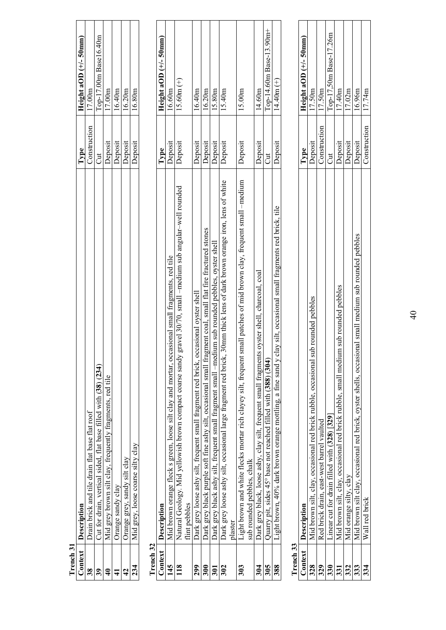| Context       | Description                                                                                                                                          | Type         | Height aOD $(+/-50$ mm)  |
|---------------|------------------------------------------------------------------------------------------------------------------------------------------------------|--------------|--------------------------|
| 38            | Drain brick and tile drain flat base flat roof                                                                                                       | Construction | 17.00m                   |
| 39            | Cut for drain, vertical sided, flat base filled with (38) (234)                                                                                      | Jut          | Top-17.00m Base16.40m    |
| $\frac{1}{4}$ | Mid grey brown silt clay, frequently fragments, red tile                                                                                             | Deposit      | 17.00m                   |
| $\frac{1}{4}$ | Orange sandy clay                                                                                                                                    | Deposit      | 16.40m                   |
| $\frac{1}{4}$ | Orange grey, sandy silt clay                                                                                                                         | Deposit      | 16.20m                   |
| 234           | Mid grey, loose coarse silty clay                                                                                                                    | Deposit      | 16.80m                   |
| Trench 32     |                                                                                                                                                      |              |                          |
| Context       | Description                                                                                                                                          | Type         | Height aOD $(+/- 50$ mm) |
| 145           | Mid brown orange fleck s green, loose silt clay and mortar, occasional small fragments, red tile                                                     | Deposit      | 16.60m                   |
| 118           | ravel 30/70, small -medium sub angular-well rounded<br>Natural Geology. Mid yellowish brown compact coarse sandy gr<br>flint pebbles                 | Deposit      | $15.60m (+)$             |
| 299           | Dark grey loose ashy silt, frequent small fragment red brick, occasional oyster shell                                                                | Deposit      | 16.40m                   |
| 300           | Dark grey black purple soft fine ashy silt, occasional small fragment coal, small flat fire fractured stones                                         | Deposit      | 16.20m                   |
| 301           | Dark grey black ashy silt, frequent small fragment small –medium sub rounded pebbles, oyster shell                                                   | Deposit      | 15.80m                   |
| 302           | Dark grey loose ashy silt, occasional large fragment red brick, 30mm thick lens of dark brown orange iron, lens of white<br>plaster                  | Deposit      | 15.40m                   |
| 303           | Light brown and white flecks mortar rich clayey silt, frequent small patches of mid brown clay, frequent small -medium<br>sub rounded pebbles, chalk | Deposit      | 15.00m                   |
| 304           | oyster shell, charcoal, coal<br>Dark grey black, loose ashy, clay silt, frequent small fragments                                                     | Deposit      | 14.60m                   |
| 305           | Quarry pit, sides 45° base not reached filled with (388) (304)                                                                                       | J            | Top-14.60m Base-13.90m+  |
| 388           | Light brown, 40% dark brown orange mottling, a fine sand y clay silt, occasional small fragments red brick, tile                                     | Deposit      | $14.40m (+)$             |
|               |                                                                                                                                                      |              |                          |

**Trench 31** 

Trench 31  $\overline{\text{Context}}$ 

| ٢ |  |
|---|--|
|   |  |
| Ξ |  |
| J |  |
|   |  |
|   |  |
|   |  |
|   |  |

| L rencn 33 |                                                                                                       |              |                          |
|------------|-------------------------------------------------------------------------------------------------------|--------------|--------------------------|
|            | Context   Description                                                                                 | <b>Lype</b>  | Height aOD $(+/- 50$ mm) |
| 328        | Mid brown silt, clay, occasional red brick rubble, occasional sub rounded pebbles                     | Deposit      | 17.50m                   |
| 329        | Red brick drain, east-west barrel vaulted                                                             | Construction | 17.50m                   |
|            | Linear cut for drain filled with (328) [329]                                                          |              | Top-17,50m Base-17.26m   |
|            | sub rounded pebbles<br>Mid brown silt, clay, occasional red brick rubble, small medium                | Deposit      | 17.40m                   |
| 332        | Mid orange silty, clay                                                                                | Deposit      | 17.02m                   |
| 333        | Mid brown silt clay, occasional red brick, oyster shells, occasional small medium sub rounded pebbles | Deposit      | 16.96m                   |
| 334        | Wall red brick                                                                                        | Construction | 17.74m                   |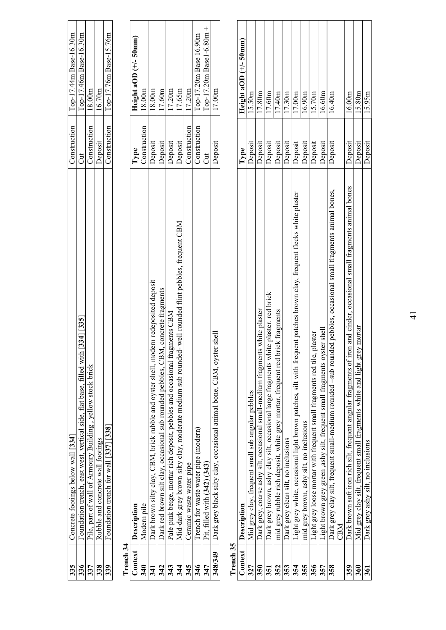| 335       | Concrete footings below wall [334]                                                                                           | Construction | Top-17.44m Base-16.30m   |
|-----------|------------------------------------------------------------------------------------------------------------------------------|--------------|--------------------------|
| 336       | $[334]$ $[335]$<br>Foundation trench, east west, vertical side, flat base, filled with                                       | J            | Top-17.46m Base-16.30m   |
| 337       | Pile, part of wall of Armoury Building, yellow stock brick                                                                   | Construction | 18.00m                   |
| 338       | Rubble and concrete wall footings                                                                                            | Deposit      | 16.70m                   |
| 339       | Foundation trench for wall [337] [338]                                                                                       | Construction | Top-17.76m Base-15.76m   |
| Trench 34 |                                                                                                                              |              |                          |
| Context   | Description                                                                                                                  | Type         | Height aOD $(+/-50$ mm   |
| 340       | Modern pile                                                                                                                  | Construction | 18.00m                   |
| 341       | Dark brown silty clay, CBM, brick rubble and oyster shell, modern redeposited deposit                                        | Deposit      | 18.00m                   |
| 342       | Dark red brown silt clay, occasional sub rounded pebbles, CBM, concrete fragments                                            | Deposit      | 17.60 <sub>m</sub>       |
| 343       | gments CBM<br>Pale pink beige, mortar rich deposit, pebbles and occasional fra                                               | Deposit      | 17.20m                   |
| 344       | Mid-dark grey brown silty clay, moderate medium sub rounded- well rounded flint pebbles, frequent CBM                        | Deposit      | 17.65m                   |
| 345       | Ceramic waste water pipe                                                                                                     | Construction | 17.20m                   |
| 346       | Trench for waste water pipe (modern)                                                                                         | Construction | Top-17.20m Base 16.90m   |
| 347       | Pit, filled with (342) (343)                                                                                                 | J            | Top-17.20m Base1-6.80m + |
| 348/349   | Dark grey black silty clay, occasional animal bone, CBM, oyster shel                                                         | Deposit      | 17.00m                   |
| Trench 35 |                                                                                                                              |              |                          |
| Context   | Description                                                                                                                  | Type         | Height aOD $(+/-50$ mm)  |
| 327       | Mid grey clay, frequent small sub angular pebbles                                                                            | Deposit      | 15.50m                   |
| 350       | Dark grey, coarse ashy silt, occasional small-medium fragments white plaster                                                 | Deposit      | 17.80m                   |
| 351       | te plaster. red brick<br>Dark grey brown, ashy clay silt, occasional large fragments whi                                     | Deposit      | 17.60m                   |
| 352       | ick fragments<br>mid grey rubble rich deposit, white grey mortar, frequent red bri                                           | Deposit      | 17.40m                   |
| 353       | Dark grey clean silt, no inclusions                                                                                          | Deposit      | 17.30m                   |
| 354       | Light grey white, occasional light brown patches, silt with frequent patches brown clay, frequent flecks white plaster       | Deposit      | 17.00m                   |
| 355       | mid grey brown, ashy silt, no inclusions                                                                                     | Deposit      | 16.90m                   |
| 356       | plaster<br>Light grey loose mortar with frequent small fragments red tile,                                                   | Deposit      | 15.70m                   |
| 357       | Light brown grey green ,ashy silt, frequent small fragments oyster shell                                                     | Deposit      | 16.60m                   |
| 358       | ed pebbles, occasional small fragments animal bones,<br>Dark grey clay silt, frequent small-medium rounded –sub round<br>CBM | Deposit      | 16.40m                   |

**359** Dark brown soft iron rich silt, frequent angular fragments of iron and cinder, occasional small fragments animal bones 10eposit 16.00m **360** Mid grey clay silt, frequent small fragments white and light grey mortar Deposit Deposit 15.80m **361** Dark grey ashy silt, no inclusions Dark grey ashy silt, no inclusions

Dark brown soft iron rich silt, frequent angular fragments of iron and cinder, occasional small fragments animal bones<br>Mid grey clay silt, frequent small fragments white and light grey mortar<br>Dark grey ashy silt, no inclus

 $|\mathbf{\hat{s}}|$ ន្ដ $|\mathbf{\bar{s}}|$ ន

 $\frac{16.00 \text{m}}{15.80 \text{m}}$ 

Deposit<br>Deposit<br>Deposit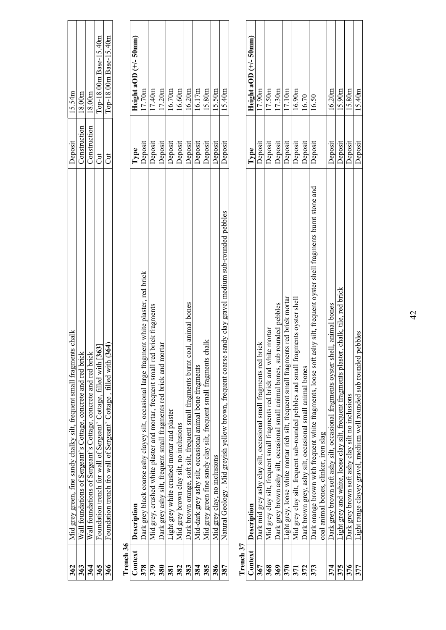| 362       | Mid grey green, fine sandy chalky silt, frequent small fragments chalk                                                 | Deposit      | 15.54m                   |
|-----------|------------------------------------------------------------------------------------------------------------------------|--------------|--------------------------|
| 363       | Wall foundations of Sergeant's Cottage, concrete and red brick                                                         | Construction | 18.00m                   |
| 364       | concrete and red brick<br>Wall foundations of Sergeant's Cottage,                                                      | Construction | 18.00m                   |
| 365       | Foundation trench for wall of Sergeant' Cottage, filled with [363]                                                     | J            | Top-18.00m Base-15.40m   |
| 366       | Foundation trench fro wall of Sergeant' Cottage, filled with (364)                                                     | Jut          | Top-18.00m Base-15.40m   |
| Trench 36 |                                                                                                                        |              |                          |
| Context   | Description                                                                                                            | Type         | Height aOD $(+/-50$ mm)  |
| 378       | Dark grey black coarse ashy clayey silt, occasional large fragment white plaster, red brick                            | Deposit      | 17.70m                   |
| 379       | brick fragments<br>Mid grey, crushed white plaster and mortar, frequent small red                                      | Deposit      | 17.40m                   |
| 380       | Dark grey ashy silt, frequent small fragments red brick and mortar                                                     | Deposit      | 17.20m                   |
| 381       | Light grey white crushed mortar and plaster                                                                            | Deposit      | 16.70m                   |
| 382       | Mid grey brown clay silt, no inclusions                                                                                | Deposit      | 16.60m                   |
| 383       | Dark brown orange, soft silt, frequent small fragments burnt coal, animal bones                                        | Deposit      | 16.20m                   |
| 384       | Mid-dark grey ashy silt, occasional animal bone fragments                                                              | Deposit      | 16.17m                   |
| 385       | Mid grey green fine sandy clay silt, frequent small fragments chalk                                                    | Deposit      | 15.80m                   |
| 386       | Mid grey clay, no inclusions                                                                                           | Deposit      | 5.50m                    |
| 387       | Natural Geology . Mid greyish yellow brown, frequent coarse sandy clay gravel medium sub-rounded pebbles               | Deposit      | 15.40m                   |
| Trench 37 |                                                                                                                        |              |                          |
| Context   | Description                                                                                                            | Type         | Height aOD $(+/- 50$ mm) |
| 367       | ick<br>Dark mid grey ashy clay silt, occasional small fragments red br                                                 | Deposit      | 17.90m                   |
| 368       | Mid grey clay silt, frequent small fragments red brick and white mortar                                                | Deposit      | 17.50m                   |
| 369       | Dark grey brown ashy silt, occasional small animal bones, sub rounded pebbles                                          | Deposit      | 17.30m                   |
| 370       | Light grey, loose white mortar rich silt, frequent small fragments red brick mortar                                    | Deposit      | 17.10m                   |
| 371       | fragments oyster shell<br>Mid grey clay silt, frequent sub-rounded pebbles and smal                                    | Deposit      | 6.90m                    |
| 372       | Dark brown grey, ashy silt, occasional small animal bones                                                              | Deposit      | 16.70                    |
| 373       | Dark orange brown with frequent white fragments, loose soft ashy silt, frequent oyster shell fragments burnt stone and | Deposit      | 16.50                    |
|           | coal animal bones, clinker, iron slag                                                                                  |              |                          |
| 374       | Dark grey brown soft ashy silt, occasional fragments oyster shell, animal bones                                        | Deposit      | 16.20m                   |
| 375       | chalk, tile, red brick<br>Light grey and white, loose clay silt, frequent fragments plaster,                           | Deposit      | 15.90 <sub>m</sub>       |
| 376       | Dark grey brown soft ashy clay silt no inclusions                                                                      | Deposit      | .5.80 <sub>m</sub>       |
| 377       | Light range clayey gravel, medium well rounded sub rounded pebbles                                                     | Deposit      | 15.40m                   |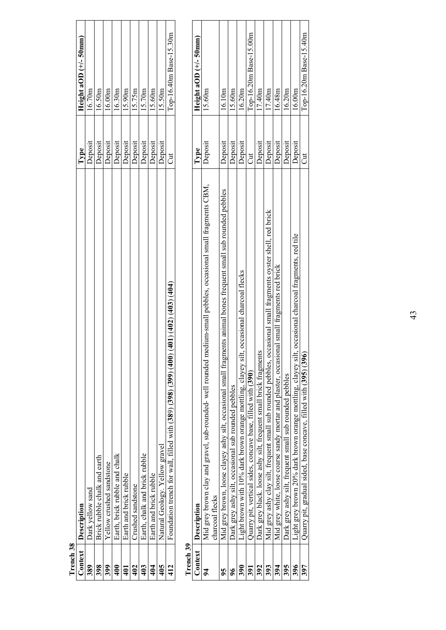| Trench 38      |                                                                                                                                    |         |                          |
|----------------|------------------------------------------------------------------------------------------------------------------------------------|---------|--------------------------|
| Context        | Description                                                                                                                        | Type    | Height aOD $(+/- 50$ mm) |
| 389            | Dark yellow sand                                                                                                                   | Deposit | 16.70m                   |
| 398            | Brick rubble chalk and earth                                                                                                       | Deposit | 16.50m                   |
| 399            | Yellow crushed sandstone                                                                                                           | Deposit | 16.00m                   |
| 400            | Earth, brick rubble and chalk                                                                                                      | Deposit | 16.30m                   |
| $\overline{1}$ | Earth and brick rubble                                                                                                             | Deposit | 15.90m                   |
| 402            | Crushed sandstone                                                                                                                  | Deposit | 15.75m                   |
| 403            | Earth, chalk and brick rubble                                                                                                      | Deposit | 15.70m                   |
| 404            | Earth and brick rubble                                                                                                             | Deposit | 15.60m                   |
| 405            | Natural Geology. Yellow gravel                                                                                                     | Deposit | 15.50m                   |
| 412            | (104)(100)<br>Foundation trench for wall, filled with $(389)$ $(398)$ $(499)$ $(400)$                                              | J       | Top-16.40m Base-15.30m   |
| Trench 39      |                                                                                                                                    |         |                          |
| Context        | Description                                                                                                                        | Type    | Height aOD $(+/-50$ mm   |
| $\mathbf{z}$   | Mid grey brown clay and gravel, sub-rounded- well rounded medium-small pebbles, occasional small fragments CBM,<br>charcoal flecks | Deposit | 15.60m                   |
| 95             | Mid grey brown, loose clayey ashy silt, occasional small fragments animal bones frequent small sub rounded pebbles                 | Deposit | 16.10m                   |
| $\frac{6}{5}$  | Dark grey ashy silt, occasional sub rounded pebbles                                                                                | Deposit | 15.60m                   |
| 390            | occasional charcoal flecks<br>Light brown with 10% dark brown orange mottling, clayey silt,                                        | Deposit | 16.20m                   |
| 391            | Quarry pit, vertical sides, concave base, filled with (390)                                                                        | Jut     | Top-16.20m Base-15.00m   |
| 392            | Dark grey black. loose ashy silt, frequent small brick fragments                                                                   | Deposit | 17.40m                   |

 Dark grey black. loose ashy silt, frequent small brick fragments Deposit 17.40m Mid grey ashy clay silt, frequent small sub rounded pebbles, occasional small fragments oyster shell, red brick Deposit 17.40m Mid grey white, loose coarse sandy mortar and plaster, occasional small fragments red brick Deposit 16.48m Dark grey ashy silt, frequent small sub rounded pebbles Deposit 16.20m Light grey brown 20% dark brown orange mottling, clayey silt, occasional charcoal fragments, red tile Deposit 16.00m

Dark grey black. loose ashy silt, frequent small brick fragments

Mid grey ashy clay silt, frequent small sub rounded pebbles, occasional small fragments oyster shell, red brick

Mid grey white, loose coarse sandy mortar and plaster, occasional small fragments red brick

Dark grey ashy silt, frequent small sub rounded pebbles

394

 $\sqrt{33}$ 

 $\frac{395}{397}$ 

**397** Quarry pit, gradual sided, base concave, filled with (**395**) (**396**) Cut Top-16.20m Base-15.40m

Light grey bany sur, irequent simul sur rounded peoples<br>Light grey brown 20% dark brown orange mottling, clayey silt, occasional charcoal fragments, red tile<br>Quarry pit, gradual sided, base concave, filled with (395) (396)

Top-16.20m Base-15.40m

 $\sqrt{17.40m}$ 

 $\frac{16.20 \text{m}}{20 \text{m}}$ 

Deposit<br>Deposit<br>Deposit<br>Deposit<br>Deposit<br>Cut

 $\frac{16.00 \text{m}}{2}$ 

 $\frac{16.48m}{m}$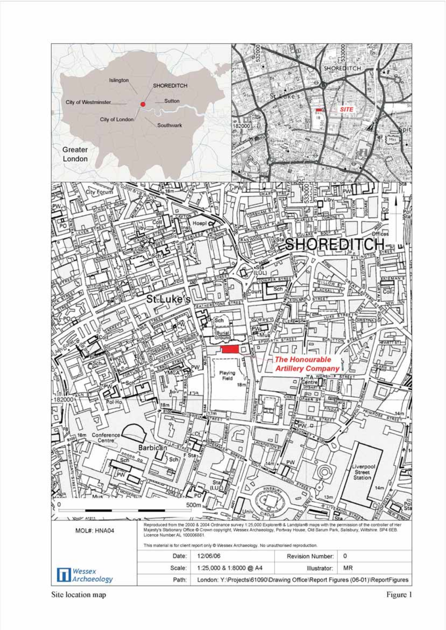

Site location map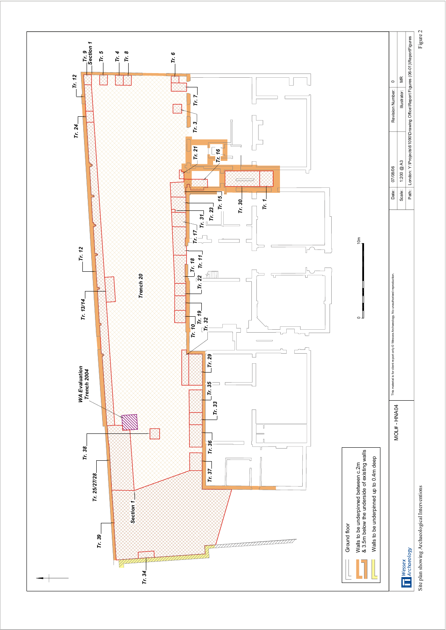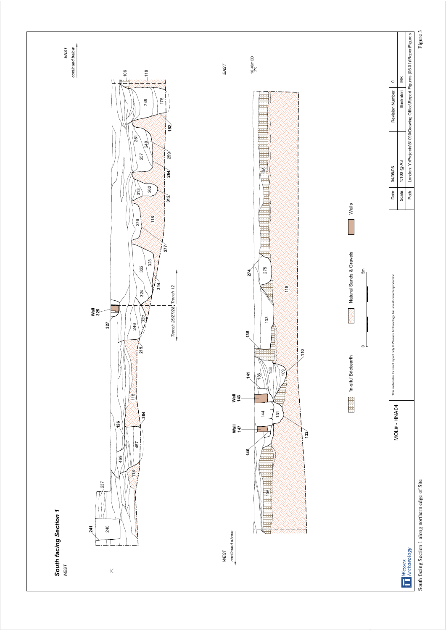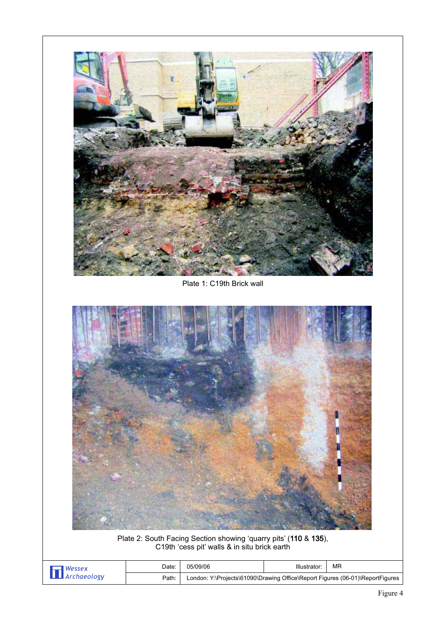

Plate 2: South Facing Section showing 'quarry pits' (110 & 135), C19th 'cess pit' walls & in situ brick earth

| Date: | 05/09/06                                                                      | МF |
|-------|-------------------------------------------------------------------------------|----|
| Path: | London: Y:\Projects\61090\Drawing Office\Report Figures (06-01)\ReportFigures |    |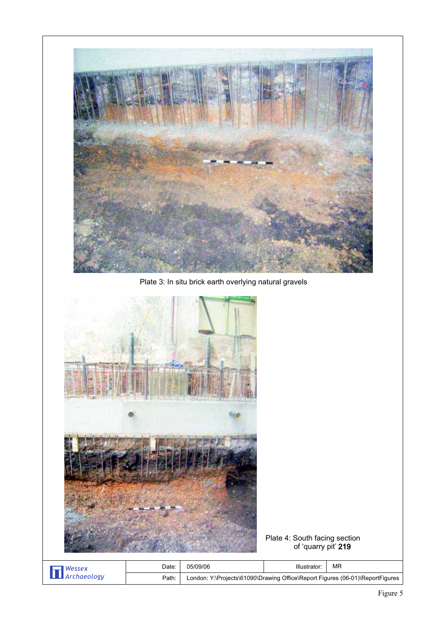